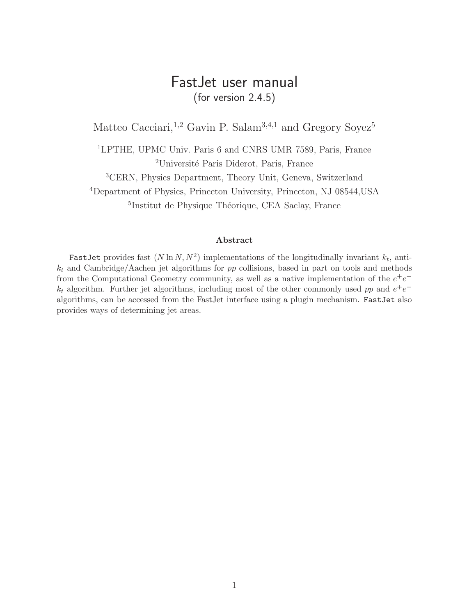# FastJet user manual (for version 2.4.5)

Matteo Cacciari,<sup>1,2</sup> Gavin P. Salam<sup>3,4,1</sup> and Gregory Soyez<sup>5</sup>

<sup>1</sup>LPTHE, UPMC Univ. Paris 6 and CNRS UMR 7589, Paris, France <sup>2</sup>Université Paris Diderot, Paris, France

<sup>3</sup>CERN, Physics Department, Theory Unit, Geneva, Switzerland

<sup>4</sup>Department of Physics, Princeton University, Princeton, NJ 08544,USA

<sup>5</sup>Institut de Physique Théorique, CEA Saclay, France

#### Abstract

FastJet provides fast  $(N \ln N, N^2)$  implementations of the longitudinally invariant  $k_t$ , anti $k_t$  and Cambridge/Aachen jet algorithms for pp collisions, based in part on tools and methods from the Computational Geometry community, as well as a native implementation of the  $e^+e^$  $k_t$  algorithm. Further jet algorithms, including most of the other commonly used pp and  $e^+e^$ algorithms, can be accessed from the FastJet interface using a plugin mechanism. FastJet also provides ways of determining jet areas.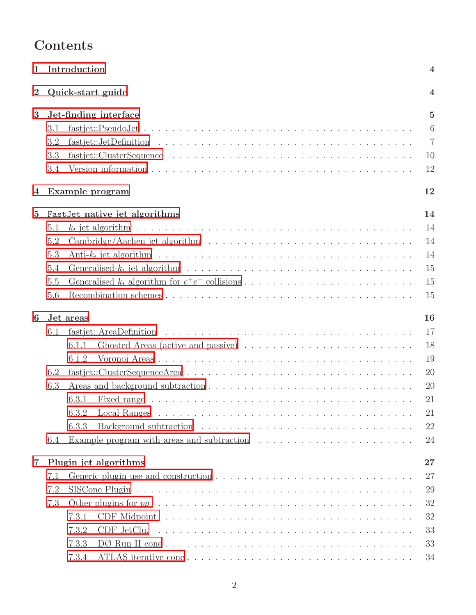# Contents

| $\mathbf{1}$   | Introduction          |                                                                                                                  |                 |  |  |  |  |
|----------------|-----------------------|------------------------------------------------------------------------------------------------------------------|-----------------|--|--|--|--|
| $\overline{2}$ | Quick-start guide     | $\overline{\mathbf{4}}$                                                                                          |                 |  |  |  |  |
| 3              | Jet-finding interface |                                                                                                                  |                 |  |  |  |  |
|                | 3.1                   |                                                                                                                  | $6\phantom{.}6$ |  |  |  |  |
|                | 3.2                   |                                                                                                                  | $\overline{7}$  |  |  |  |  |
|                | 3.3                   |                                                                                                                  | 10              |  |  |  |  |
|                | 3.4                   |                                                                                                                  | 12              |  |  |  |  |
| 4              | 12<br>Example program |                                                                                                                  |                 |  |  |  |  |
| $\overline{5}$ |                       | 14<br>FastJet native jet algorithms                                                                              |                 |  |  |  |  |
|                | 5.1                   |                                                                                                                  | 14              |  |  |  |  |
|                | 5.2                   |                                                                                                                  | 14              |  |  |  |  |
|                | 5.3                   |                                                                                                                  | 14              |  |  |  |  |
|                | 5.4                   |                                                                                                                  | 15              |  |  |  |  |
|                | 5.5                   |                                                                                                                  | 15              |  |  |  |  |
|                | 5.6                   | 15                                                                                                               |                 |  |  |  |  |
| 6              | 16<br>Jet areas       |                                                                                                                  |                 |  |  |  |  |
|                | 6.1                   |                                                                                                                  | 17              |  |  |  |  |
|                |                       | 6.1.1                                                                                                            | 18              |  |  |  |  |
|                |                       | 6.1.2                                                                                                            | 19              |  |  |  |  |
|                | 6.2                   |                                                                                                                  | 20              |  |  |  |  |
|                | 6.3                   |                                                                                                                  | 20              |  |  |  |  |
|                |                       | 6.3.1                                                                                                            | 21              |  |  |  |  |
|                |                       |                                                                                                                  | 21              |  |  |  |  |
|                |                       | 6.3.3                                                                                                            | 22              |  |  |  |  |
|                | 6.4                   | Example program with areas and subtraction $\ldots \ldots \ldots \ldots \ldots \ldots \ldots$                    | 24              |  |  |  |  |
| $\overline{7}$ |                       | Plugin jet algorithms                                                                                            | 27              |  |  |  |  |
|                | 7.1                   |                                                                                                                  | 27              |  |  |  |  |
|                | 7.2                   |                                                                                                                  | 29              |  |  |  |  |
|                | 7.3                   | Other plugins for $pp \dots \dots \dots \dots \dots \dots \dots \dots \dots \dots \dots \dots \dots \dots \dots$ | 32              |  |  |  |  |
|                |                       | 7.3.1                                                                                                            | 32              |  |  |  |  |
|                |                       | 7.3.2                                                                                                            | 33              |  |  |  |  |
|                |                       | 7.3.3                                                                                                            | 33              |  |  |  |  |
|                |                       | 7.3.4                                                                                                            | 34              |  |  |  |  |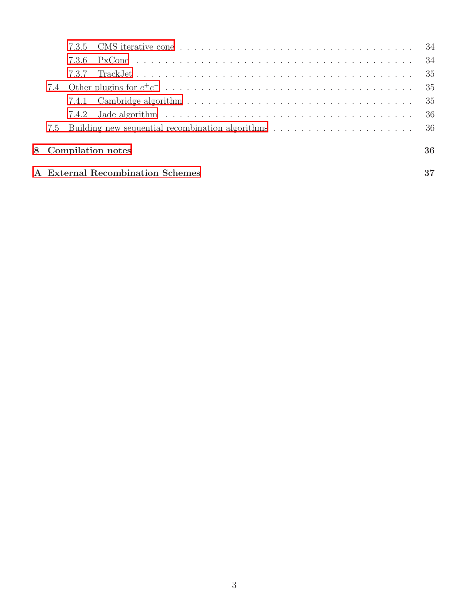|                                         | 7.3.6 |  | 34  |  |  |  |  |  |
|-----------------------------------------|-------|--|-----|--|--|--|--|--|
|                                         | 7.3.7 |  | 35  |  |  |  |  |  |
|                                         |       |  | 35  |  |  |  |  |  |
|                                         |       |  | 35  |  |  |  |  |  |
|                                         |       |  | -36 |  |  |  |  |  |
| 7.5                                     |       |  |     |  |  |  |  |  |
| 8 Compilation notes                     |       |  |     |  |  |  |  |  |
| <b>A</b> External Recombination Schemes |       |  |     |  |  |  |  |  |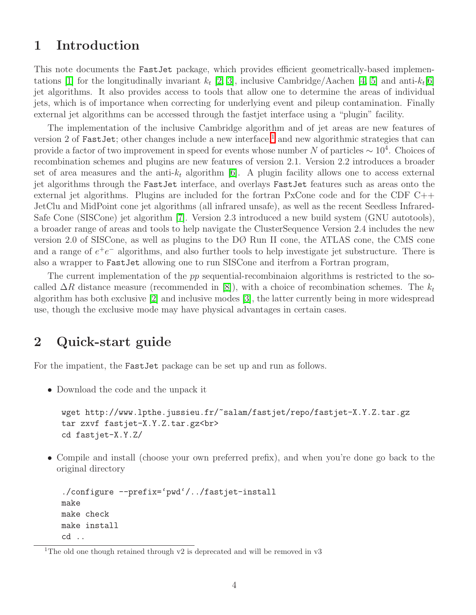# <span id="page-3-0"></span>1 Introduction

This note documents the FastJet package, which provides efficient geometrically-based implemen-tations [\[1\]](#page-37-0) for the longitudinally invariant  $k_t$  [\[2,](#page-37-1) [3\]](#page-37-2), inclusive Cambridge/Aachen [\[4,](#page-37-3) [5\]](#page-37-4) and anti- $k_t$ [\[6\]](#page-37-5) jet algorithms. It also provides access to tools that allow one to determine the areas of individual jets, which is of importance when correcting for underlying event and pileup contamination. Finally external jet algorithms can be accessed through the fastjet interface using a "plugin" facility.

The implementation of the inclusive Cambridge algorithm and of jet areas are new features of version 2 of FastJet; other changes include a new interface,<sup>[1](#page-3-2)</sup> and new algorithmic strategies that can provide a factor of two improvement in speed for events whose number N of particles  $\sim 10^4$ . Choices of recombination schemes and plugins are new features of version 2.1. Version 2.2 introduces a broader set of area measures and the anti- $k_t$  algorithm [\[6\]](#page-37-5). A plugin facility allows one to access external jet algorithms through the FastJet interface, and overlays FastJet features such as areas onto the external jet algorithms. Plugins are included for the fortran PxCone code and for the CDF  $C++$ JetClu and MidPoint cone jet algorithms (all infrared unsafe), as well as the recent Seedless Infrared-Safe Cone (SISCone) jet algorithm [\[7\]](#page-37-6). Version 2.3 introduced a new build system (GNU autotools), a broader range of areas and tools to help navigate the ClusterSequence Version 2.4 includes the new version 2.0 of SISCone, as well as plugins to the DØ Run II cone, the ATLAS cone, the CMS cone and a range of  $e^+e^-$  algorithms, and also further tools to help investigate jet substructure. There is also a wrapper to FastJet allowing one to run SISCone and iterfrom a Fortran program,

The current implementation of the pp sequential-recombination algorithms is restricted to the socalled  $\Delta R$  distance measure (recommended in [\[8\]](#page-37-7)), with a choice of recombination schemes. The  $k_t$ algorithm has both exclusive [\[2\]](#page-37-1) and inclusive modes [\[3\]](#page-37-2), the latter currently being in more widespread use, though the exclusive mode may have physical advantages in certain cases.

# <span id="page-3-1"></span>2 Quick-start guide

For the impatient, the FastJet package can be set up and run as follows.

• Download the code and the unpack it

```
wget http://www.lpthe.jussieu.fr/~salam/fastjet/repo/fastjet-X.Y.Z.tar.gz
tar zxvf fastjet-X.Y.Z.tar.gz<br>
cd fastjet-X.Y.Z/
```
• Compile and install (choose your own preferred prefix), and when you're done go back to the original directory

```
./configure --prefix='pwd'/../fastjet-install
make
make check
make install
cd ..
```
<span id="page-3-2"></span><sup>&</sup>lt;sup>1</sup>The old one though retained through v2 is deprecated and will be removed in v3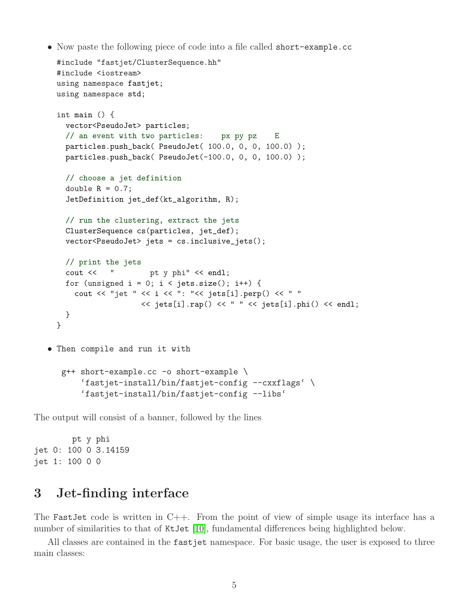• Now paste the following piece of code into a file called short-example.cc

```
#include "fastjet/ClusterSequence.hh"
 #include <iostream>
 using namespace fastjet;
 using namespace std;
 int main () {
   vector<PseudoJet> particles;
   // an event with two particles: px py pz E
   particles.push_back( PseudoJet( 100.0, 0, 0, 100.0) );
   particles.push_back( PseudoJet(-100.0, 0, 0, 100.0) );
   // choose a jet definition
   double R = 0.7;
   JetDefinition jet_def(kt_algorithm, R);
   // run the clustering, extract the jets
   ClusterSequence cs(particles, jet_def);
   vector<PseudoJet> jets = cs.inclusive_jets();
   // print the jets
   cout << " pt y phi" << endl;
   for (unsigned i = 0; i < jets.size(); i++) {
     cout << "jet " << i << ": "<< jets[i].perp() << " "
                    << jets[i].rap() << " " << jets[i].phi() << endl;
   }
 }
• Then compile and run it with
  g++ short-example.cc -o short-example \
       'fastjet-install/bin/fastjet-config --cxxflags' \
       'fastjet-install/bin/fastjet-config --libs'
```
The output will consist of a banner, followed by the lines

pt y phi jet 0: 100 0 3.14159 jet 1: 100 0 0

# <span id="page-4-0"></span>3 Jet-finding interface

The FastJet code is written in  $C_{++}$ . From the point of view of simple usage its interface has a number of similarities to that of KtJet [\[10\]](#page-37-8), fundamental differences being highlighted below.

All classes are contained in the fastjet namespace. For basic usage, the user is exposed to three main classes: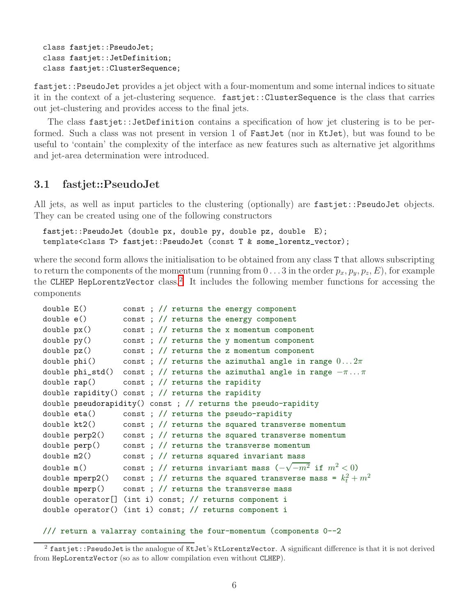```
class fastjet::PseudoJet;
class fastjet::JetDefinition;
class fastjet::ClusterSequence;
```
fastjet::PseudoJet provides a jet object with a four-momentum and some internal indices to situate it in the context of a jet-clustering sequence. fastjet::ClusterSequence is the class that carries out jet-clustering and provides access to the final jets.

The class fastjet::JetDefinition contains a specification of how jet clustering is to be performed. Such a class was not present in version 1 of FastJet (nor in KtJet), but was found to be useful to 'contain' the complexity of the interface as new features such as alternative jet algorithms and jet-area determination were introduced.

# <span id="page-5-0"></span>3.1 fastjet::PseudoJet

All jets, as well as input particles to the clustering (optionally) are fastjet::PseudoJet objects. They can be created using one of the following constructors

```
fastjet::PseudoJet (double px, double py, double pz, double E);
template<class T> fastjet::PseudoJet (const T & some_lorentz_vector);
```
where the second form allows the initialisation to be obtained from any class T that allows subscripting to return the components of the momentum (running from  $0 \dots 3$  in the order  $p_x, p_y, p_z, E$ ), for example the CLHEP HepLorentzVector class.<sup>[2](#page-5-1)</sup> It includes the following member functions for accessing the components

```
double E() const ; // returns the energy component
double e() const ; // returns the energy component
double px() const ; // returns the x momentum component
double py() const ; // returns the y momentum component
double pz() const ; // returns the z momentum component
double phi() const ; // returns the azimuthal angle in range 0...2\pidouble phi_std() const ; // returns the azimuthal angle in range -\pi \dots \pi double rap() const ; // returns the rapidity
                  const ; // returns the rapidity
double rapidity() const ; // returns the rapidity
double pseudorapidity() const ; // returns the pseudo-rapidity
double eta() const ; // returns the pseudo-rapidity
double kt2() const ; // returns the squared transverse momentum
double perp2() const ; // returns the squared transverse momentum
double perp() const ; // returns the transverse momentum
double m2() const ; // returns squared invariant mass
double m() const ; // returns invariant mass (-\sqrt{-m^2} if m^2 < 0)
double mperp2() \quad const ; // returns the squared transverse mass = k_t^2 + m^2double mperp() const ; // returns the transverse mass
double operator[] (int i) const; // returns component i
double operator() (int i) const; // returns component i
```
/// return a valarray containing the four-momentum (components 0--2

<span id="page-5-1"></span><sup>&</sup>lt;sup>2</sup> fastjet::PseudoJet is the analogue of KtJet's KtLorentzVector. A significant difference is that it is not derived from HepLorentzVector (so as to allow compilation even without CLHEP).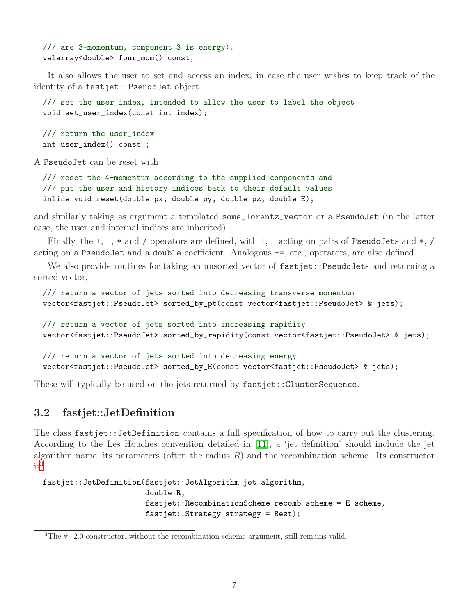```
/// are 3-momentum, component 3 is energy).
valarray<double> four_mom() const;
```
It also allows the user to set and access an index, in case the user wishes to keep track of the identity of a fastjet::PseudoJet object

/// set the user\_index, intended to allow the user to label the object void set\_user\_index(const int index);

```
/// return the user_index
int user_index() const ;
```
A PseudoJet can be reset with

/// reset the 4-momentum according to the supplied components and /// put the user and history indices back to their default values inline void reset(double px, double py, double pz, double E);

and similarly taking as argument a templated some\_lorentz\_vector or a PseudoJet (in the latter case, the user and internal indices are inherited).

Finally, the  $+$ ,  $-$ ,  $*$  and  $\prime$  operators are defined, with  $+$ ,  $-$  acting on pairs of PseudoJets and  $*$ ,  $\prime$ acting on a PseudoJet and a double coefficient. Analogous +=, etc., operators, are also defined.

We also provide routines for taking an unsorted vector of fast jet:: PseudoJets and returning a sorted vector,

```
/// return a vector of jets sorted into decreasing transverse momentum
vector<fastjet::PseudoJet> sorted_by_pt(const vector<fastjet::PseudoJet> & jets);
```
/// return a vector of jets sorted into increasing rapidity vector<fastjet::PseudoJet> sorted\_by\_rapidity(const vector<fastjet::PseudoJet> & jets);

/// return a vector of jets sorted into decreasing energy vector<fastjet::PseudoJet> sorted\_by\_E(const vector<fastjet::PseudoJet> & jets);

<span id="page-6-0"></span>These will typically be used on the jets returned by fastjet::ClusterSequence.

### 3.2 fastjet::JetDefinition

The class fastjet::JetDefinition contains a full specification of how to carry out the clustering. According to the Les Houches convention detailed in [\[11\]](#page-37-9), a 'jet definition' should include the jet algorithm name, its parameters (often the radius  $R$ ) and the recombination scheme. Its constructor  $i_S^3$  $i_S^3$ 

```
fastjet::JetDefinition(fastjet::JetAlgorithm jet_algorithm,
                       double R,
                       fastjet::RecombinationScheme recomb_scheme = E_scheme,
```

```
fastjet::Strategy strategy = Best);
```
<span id="page-6-1"></span><sup>&</sup>lt;sup>3</sup>The v. 2.0 constructor, without the recombination scheme argument, still remains valid.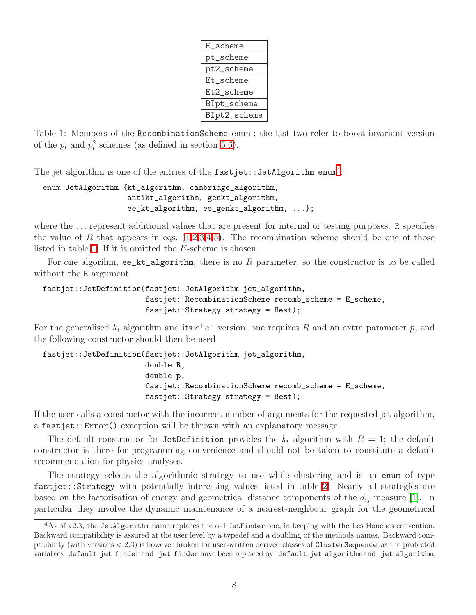| E_scheme     |  |  |  |
|--------------|--|--|--|
| pt_scheme    |  |  |  |
| pt2_scheme   |  |  |  |
| Et_scheme    |  |  |  |
| Et2_scheme   |  |  |  |
| BIpt_scheme  |  |  |  |
| BIpt2_scheme |  |  |  |

<span id="page-7-1"></span>Table 1: Members of the RecombinationScheme enum; the last two refer to boost-invariant version of the  $p_t$  and  $p_t^2$  schemes (as defined in section [5.6\)](#page-14-2).

The jet algorithm is one of the entries of the fastjet::JetAlgorithm  $enum^4$  $enum^4$ :

```
enum JetAlgorithm {kt_algorithm, cambridge_algorithm,
                   antikt_algorithm, genkt_algorithm,
                   ee_kt_algorithm, ee_genkt_algorithm, ...};
```
where the ... represent additional values that are present for internal or testing purposes. R specifies the value of R that appears in eqs.  $(1,2,3,4,5)$  $(1,2,3,4,5)$  $(1,2,3,4,5)$  $(1,2,3,4,5)$  $(1,2,3,4,5)$ . The recombination scheme should be one of those listed in table [1.](#page-7-1) If it is omitted the E-scheme is chosen.

For one algorithm,  $ee_{\text{kt\_algorithm}}$ , there is no R parameter, so the constructor is to be called without the R argument:

```
fastjet::JetDefinition(fastjet::JetAlgorithm jet_algorithm,
                       fastjet::RecombinationScheme recomb_scheme = E_scheme,
                       fastjet::Strategy strategy = Best);
```
For the generalised  $k_t$  algorithm and its  $e^+e^-$  version, one requires R and an extra parameter p, and the following constructor should then be used

fastjet::JetDefinition(fastjet::JetAlgorithm jet\_algorithm,

double R, double p, fastjet::RecombinationScheme recomb\_scheme = E\_scheme, fastjet::Strategy strategy = Best);

If the user calls a constructor with the incorrect number of arguments for the requested jet algorithm, a fastjet::Error() exception will be thrown with an explanatory message.

The default constructor for JetDefinition provides the  $k_t$  algorithm with  $R = 1$ ; the default constructor is there for programming convenience and should not be taken to constitute a default recommendation for physics analyses.

The strategy selects the algorithmic strategy to use while clustering and is an enum of type fastjet::Strategy with potentially interesting values listed in table [2.](#page-8-0) Nearly all strategies are based on the factorisation of energy and geometrical distance components of the  $d_{ij}$  measure [\[1\]](#page-37-0). In particular they involve the dynamic maintenance of a nearest-neighbour graph for the geometrical

<span id="page-7-0"></span><sup>4</sup>As of v2.3, the JetAlgorithm name replaces the old JetFinder one, in keeping with the Les Houches convention. Backward compatibility is assured at the user level by a typedef and a doubling of the methods names. Backward compatibility (with versions < 2.3) is however broken for user-written derived classes of ClusterSequence, as the protected variables default jet finder and jet finder have been replaced by default jet algorithm and jet algorithm.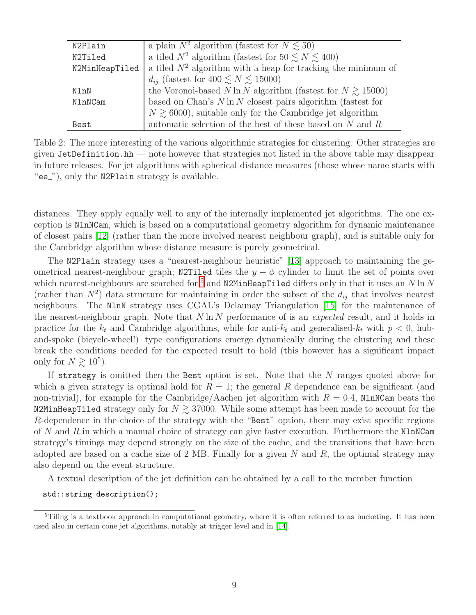| N2Plain        | a plain $N^2$ algorithm (fastest for $N \leq 50$ )              |  |  |  |
|----------------|-----------------------------------------------------------------|--|--|--|
| N2Tiled        | a tiled $N^2$ algorithm (fastest for $50 \le N \le 400$ )       |  |  |  |
| N2MinHeapTiled | a tiled $N^2$ algorithm with a heap for tracking the minimum of |  |  |  |
|                | $d_{ij}$ (fastest for $400 \leq N \leq 15000$ )                 |  |  |  |
| NlnN           | the Voronoi-based N ln N algorithm (fastest for $N \ge 15000$ ) |  |  |  |
| NlnNCam        | based on Chan's $N \ln N$ closest pairs algorithm (fastest for  |  |  |  |
|                | $N \geq 6000$ , suitable only for the Cambridge jet algorithm   |  |  |  |
| <b>Best</b>    | automatic selection of the best of these based on $N$ and $R$   |  |  |  |

<span id="page-8-0"></span>Table 2: The more interesting of the various algorithmic strategies for clustering. Other strategies are given JetDefinition.hh — note however that strategies not listed in the above table may disappear in future releases. For jet algorithms with spherical distance measures (those whose name starts with "ee\_"), only the N2Plain strategy is available.

distances. They apply equally well to any of the internally implemented jet algorithms. The one exception is NlnNCam, which is based on a computational geometry algorithm for dynamic maintenance of closest pairs [\[12\]](#page-37-10) (rather than the more involved nearest neighbour graph), and is suitable only for the Cambridge algorithm whose distance measure is purely geometrical.

The N2Plain strategy uses a "nearest-neighbour heuristic" [\[13\]](#page-37-11) approach to maintaining the geometrical nearest-neighbour graph; N2Tiled tiles the  $y - \phi$  cylinder to limit the set of points over which nearest-neighbours are searched for,<sup>[5](#page-8-1)</sup> and N2MinHeapTiled differs only in that it uses an  $N \ln N$ (rather than  $N^2$ ) data structure for maintaining in order the subset of the  $d_{ij}$  that involves nearest neighbours. The NlnN strategy uses CGAL's Delaunay Triangulation [\[15\]](#page-38-0) for the maintenance of the nearest-neighbour graph. Note that  $N \ln N$  performance of is an *expected* result, and it holds in practice for the  $k_t$  and Cambridge algorithms, while for anti- $k_t$  and generalised- $k_t$  with  $p < 0$ , huband-spoke (bicycle-wheel!) type configurations emerge dynamically during the clustering and these break the conditions needed for the expected result to hold (this however has a significant impact only for  $N \gtrsim 10^5$ ).

If strategy is omitted then the Best option is set. Note that the  $N$  ranges quoted above for which a given strategy is optimal hold for  $R = 1$ ; the general R dependence can be significant (and non-trivial), for example for the Cambridge/Aachen jet algorithm with  $R = 0.4$ , NlnNCam beats the N2MinHeapTiled strategy only for  $N \gtrsim 37000$ . While some attempt has been made to account for the R-dependence in the choice of the strategy with the "Best" option, there may exist specific regions of  $N$  and  $R$  in which a manual choice of strategy can give faster execution. Furthermore the N1nNCam strategy's timings may depend strongly on the size of the cache, and the transitions that have been adopted are based on a cache size of 2 MB. Finally for a given N and R, the optimal strategy may also depend on the event structure.

A textual description of the jet definition can be obtained by a call to the member function

std::string description();

<span id="page-8-1"></span><sup>&</sup>lt;sup>5</sup>Tiling is a textbook approach in computational geometry, where it is often referred to as bucketing. It has been used also in certain cone jet algorithms, notably at trigger level and in [\[14\]](#page-37-12).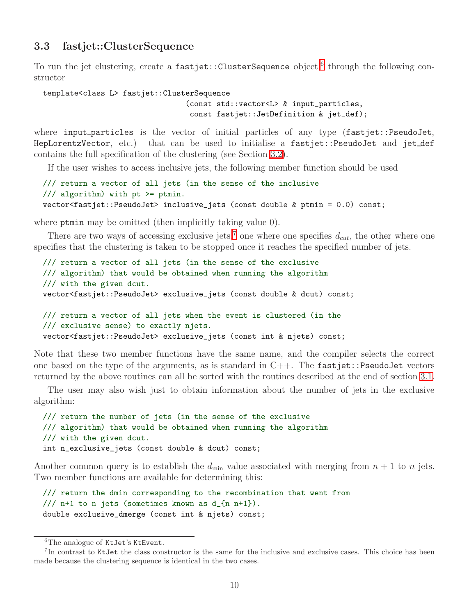### <span id="page-9-0"></span>3.3 fastjet::ClusterSequence

To run the jet clustering, create a  $\texttt{fastjet}::\texttt{ClusterSequence}$  object,  $^6$  $^6$  through the following constructor

#### template<class L> fastjet::ClusterSequence

(const std::vector<L> & input\_particles, const fastjet::JetDefinition & jet\_def);

where input particles is the vector of initial particles of any type (fast jet: : PseudoJet, HepLorentzVector, etc.) that can be used to initialise a fastjet::PseudoJet and jet def contains the full specification of the clustering (see Section [3.2\)](#page-6-0).

If the user wishes to access inclusive jets, the following member function should be used

```
/// return a vector of all jets (in the sense of the inclusive
/// algorithm) with pt >= ptmin.
vector<fastjet::PseudoJet> inclusive_jets (const double & ptmin = 0.0) const;
```
where **ptmin** may be omitted (then implicitly taking value 0).

There are two ways of accessing exclusive jets,<sup>[7](#page-9-2)</sup> one where one specifies  $d_{cut}$ , the other where one specifies that the clustering is taken to be stopped once it reaches the specified number of jets.

```
/// return a vector of all jets (in the sense of the exclusive
/// algorithm) that would be obtained when running the algorithm
/// with the given dcut.
vector<fastjet::PseudoJet> exclusive_jets (const double & dcut) const;
/// return a vector of all jets when the event is clustered (in the
/// exclusive sense) to exactly njets.
vector<fastjet::PseudoJet> exclusive_jets (const int & njets) const;
```
Note that these two member functions have the same name, and the compiler selects the correct one based on the type of the arguments, as is standard in  $C_{++}$ . The fast jet::PseudoJet vectors returned by the above routines can all be sorted with the routines described at the end of section [3.1.](#page-5-0)

The user may also wish just to obtain information about the number of jets in the exclusive algorithm:

```
/// return the number of jets (in the sense of the exclusive
/// algorithm) that would be obtained when running the algorithm
/// with the given dcut.
int n_exclusive_jets (const double & dcut) const;
```
Another common query is to establish the  $d_{\min}$  value associated with merging from  $n + 1$  to n jets. Two member functions are available for determining this:

```
/// return the dmin corresponding to the recombination that went from
/// n+1 to n jets (sometimes known as d_{n n+1}).
double exclusive_dmerge (const int & njets) const;
```
<sup>6</sup>The analogue of KtJet's KtEvent.

<span id="page-9-2"></span><span id="page-9-1"></span><sup>&</sup>lt;sup>7</sup>In contrast to KtJet the class constructor is the same for the inclusive and exclusive cases. This choice has been made because the clustering sequence is identical in the two cases.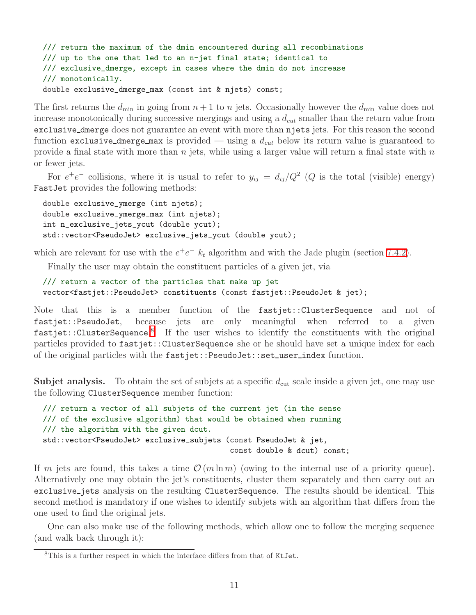```
/// return the maximum of the dmin encountered during all recombinations
/// up to the one that led to an n-jet final state; identical to
/// exclusive_dmerge, except in cases where the dmin do not increase
/// monotonically.
double exclusive_dmerge_max (const int & njets) const;
```
The first returns the  $d_{\min}$  in going from  $n + 1$  to n jets. Occasionally however the  $d_{\min}$  value does not increase monotonically during successive mergings and using a  $d_{cut}$  smaller than the return value from exclusive dmerge does not guarantee an event with more than njets jets. For this reason the second function exclusive dmerge max is provided — using a  $d_{cut}$  below its return value is guaranteed to provide a final state with more than  $n$  jets, while using a larger value will return a final state with  $n$ or fewer jets.

For  $e^+e^-$  collisions, where it is usual to refer to  $y_{ij} = d_{ij}/Q^2$  (Q is the total (visible) energy) FastJet provides the following methods:

```
double exclusive_ymerge (int njets);
double exclusive_ymerge_max (int njets);
int n_exclusive_jets_ycut (double ycut);
std::vector<PseudoJet> exclusive_jets_ycut (double ycut);
```
which are relevant for use with the  $e^+e^- k_t$  algorithm and with the Jade plugin (section [7.4.2\)](#page-35-0).

Finally the user may obtain the constituent particles of a given jet, via

```
/// return a vector of the particles that make up jet
vector<fastjet::PseudoJet> constituents (const fastjet::PseudoJet & jet);
```
Note that this is a member function of the fastjet::ClusterSequence and not of fastjet::PseudoJet, because jets are only meaningful when referred to a given fastjet::ClusterSequence.<sup>[8](#page-10-0)</sup> If the user wishes to identify the constituents with the original particles provided to fastjet::ClusterSequence she or he should have set a unique index for each of the original particles with the fastjet::PseudoJet::set user index function.

**Subjet analysis.** To obtain the set of subjets at a specific  $d_{\text{cut}}$  scale inside a given jet, one may use the following ClusterSequence member function:

```
/// return a vector of all subjets of the current jet (in the sense
/// of the exclusive algorithm) that would be obtained when running
/// the algorithm with the given dcut.
std::vector<PseudoJet> exclusive_subjets (const PseudoJet & jet,
                                          const double & dcut) const;
```
If m jets are found, this takes a time  $\mathcal{O}(m \ln m)$  (owing to the internal use of a priority queue). Alternatively one may obtain the jet's constituents, cluster them separately and then carry out an exclusive jets analysis on the resulting ClusterSequence. The results should be identical. This second method is mandatory if one wishes to identify subjets with an algorithm that differs from the one used to find the original jets.

One can also make use of the following methods, which allow one to follow the merging sequence (and walk back through it):

<span id="page-10-0"></span><sup>8</sup>This is a further respect in which the interface differs from that of KtJet.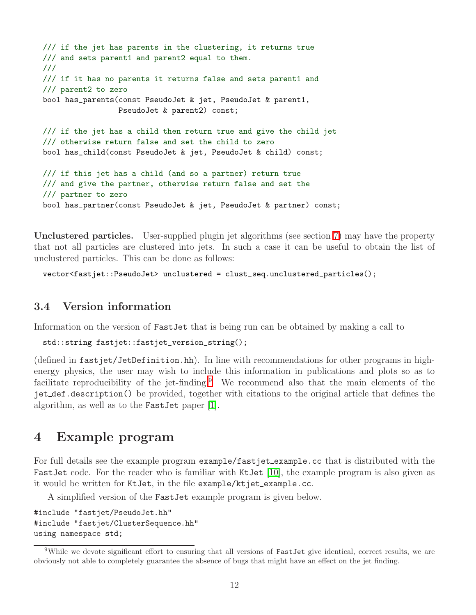```
/// if the jet has parents in the clustering, it returns true
/// and sets parent1 and parent2 equal to them.
///
/// if it has no parents it returns false and sets parent1 and
/// parent2 to zero
bool has_parents(const PseudoJet & jet, PseudoJet & parent1,
                 PseudoJet & parent2) const;
/// if the jet has a child then return true and give the child jet
/// otherwise return false and set the child to zero
bool has_child(const PseudoJet & jet, PseudoJet & child) const;
/// if this jet has a child (and so a partner) return true
/// and give the partner, otherwise return false and set the
/// partner to zero
bool has_partner(const PseudoJet & jet, PseudoJet & partner) const;
```
Unclustered particles. User-supplied plugin jet algorithms (see section [7\)](#page-26-0) may have the property that not all particles are clustered into jets. In such a case it can be useful to obtain the list of unclustered particles. This can be done as follows:

```
vector<fastjet::PseudoJet> unclustered = clust_seq.unclustered_particles();
```
## <span id="page-11-0"></span>3.4 Version information

Information on the version of FastJet that is being run can be obtained by making a call to

```
std::string fastjet::fastjet_version_string();
```
(defined in fastjet/JetDefinition.hh). In line with recommendations for other programs in highenergy physics, the user may wish to include this information in publications and plots so as to facilitate reproducibility of the jet-finding.<sup>[9](#page-11-2)</sup> We recommend also that the main elements of the jet def. description() be provided, together with citations to the original article that defines the algorithm, as well as to the FastJet paper [\[1\]](#page-37-0).

# <span id="page-11-1"></span>4 Example program

For full details see the example program example/fast jet\_example.cc that is distributed with the FastJet code. For the reader who is familiar with KtJet [\[10\]](#page-37-8), the example program is also given as it would be written for KtJet, in the file example/ktjet\_example.cc.

A simplified version of the FastJet example program is given below.

#include "fastjet/PseudoJet.hh" #include "fastjet/ClusterSequence.hh" using namespace std;

<span id="page-11-2"></span><sup>9</sup>While we devote significant effort to ensuring that all versions of FastJet give identical, correct results, we are obviously not able to completely guarantee the absence of bugs that might have an effect on the jet finding.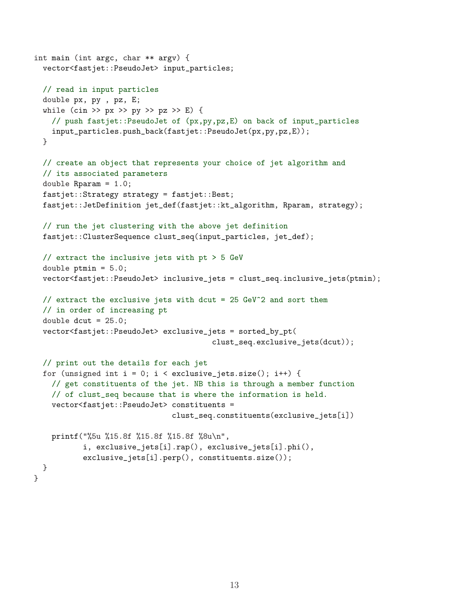```
int main (int argc, char ** argv) {
 vector<fastjet::PseudoJet> input_particles;
 // read in input particles
  double px, py , pz, E;
  while (cin >> px >> py >> pz >> E) {
   // push fastjet::PseudoJet of (px,py,pz,E) on back of input_particles
    input_particles.push_back(fastjet::PseudoJet(px,py,pz,E));
  }
  // create an object that represents your choice of jet algorithm and
  // its associated parameters
  double Rparam = 1.0;
  fastjet::Strategy strategy = fastjet::Best;
  fastjet::JetDefinition jet_def(fastjet::kt_algorithm, Rparam, strategy);
  // run the jet clustering with the above jet definition
  fastjet::ClusterSequence clust_seq(input_particles, jet_def);
  // extract the inclusive jets with pt > 5 GeV
  double ptmin = 5.0;
  vector<fastjet::PseudoJet> inclusive_jets = clust_seq.inclusive_jets(ptmin);
  // extract the exclusive jets with dcut = 25 GeV^2 and sort them
  // in order of increasing pt
  double dcut = 25.0;
  vector<fastjet::PseudoJet> exclusive_jets = sorted_by_pt(
                                        clust_seq.exclusive_jets(dcut));
  // print out the details for each jet
  for (unsigned int i = 0; i < exclusive_jets.size(); i++) {
   // get constituents of the jet. NB this is through a member function
    // of clust_seq because that is where the information is held.
    vector<fastjet::PseudoJet> constituents =
                               clust_seq.constituents(exclusive_jets[i])
   printf("%5u %15.8f %15.8f %15.8f %8u\n",
           i, exclusive_jets[i].rap(), exclusive_jets[i].phi(),
           exclusive_jets[i].perp(), constituents.size());
 }
}
```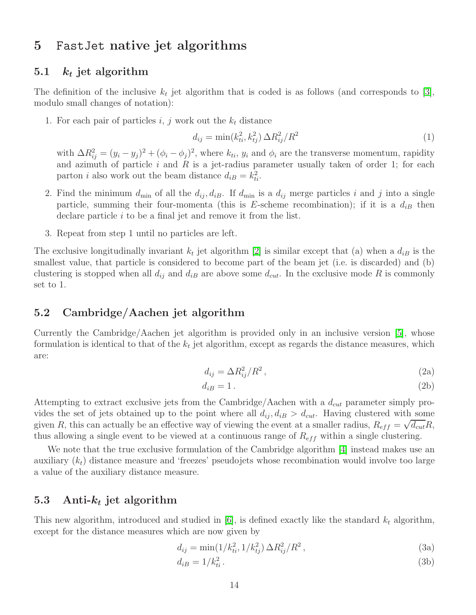# <span id="page-13-1"></span><span id="page-13-0"></span>5 FastJet native jet algorithms

# 5.1  $k_t$  jet algorithm

The definition of the inclusive  $k_t$  jet algorithm that is coded is as follows (and corresponds to [\[3\]](#page-37-2), modulo small changes of notation):

1. For each pair of particles  $i, j$  work out the  $k_t$  distance

<span id="page-13-4"></span>
$$
d_{ij} = \min(k_{ti}^2, k_{tj}^2) \,\Delta R_{ij}^2 / R^2 \tag{1}
$$

with  $\Delta R_{ij}^2 = (y_i - y_j)^2 + (\phi_i - \phi_j)^2$ , where  $k_{ti}$ ,  $y_i$  and  $\phi_i$  are the transverse momentum, rapidity and azimuth of particle  $i$  and  $R$  is a jet-radius parameter usually taken of order 1; for each parton *i* also work out the beam distance  $d_{iB} = k_{ti}^2$ .

- 2. Find the minimum  $d_{\min}$  of all the  $d_{ij}, d_{iB}$ . If  $d_{\min}$  is a  $d_{ij}$  merge particles i and j into a single particle, summing their four-momenta (this is E-scheme recombination); if it is a  $d_{iB}$  then declare particle i to be a final jet and remove it from the list.
- 3. Repeat from step 1 until no particles are left.

The exclusive longitudinally invariant  $k_t$  jet algorithm [\[2\]](#page-37-1) is similar except that (a) when a  $d_{iB}$  is the smallest value, that particle is considered to become part of the beam jet (i.e. is discarded) and (b) clustering is stopped when all  $d_{ij}$  and  $d_{iB}$  are above some  $d_{cut}$ . In the exclusive mode R is commonly set to 1.

## <span id="page-13-2"></span>5.2 Cambridge/Aachen jet algorithm

<span id="page-13-5"></span>Currently the Cambridge/Aachen jet algorithm is provided only in an inclusive version [\[5\]](#page-37-4), whose formulation is identical to that of the  $k_t$  jet algorithm, except as regards the distance measures, which are:

$$
d_{ij} = \Delta R_{ij}^2 / R^2, \qquad (2a)
$$

$$
d_{iB} = 1. \t\t(2b)
$$

Attempting to extract exclusive jets from the Cambridge/Aachen with a  $d_{cut}$  parameter simply provides the set of jets obtained up to the point where all  $d_{ij}, d_{iB} > d_{cut}$ . Having clustered with some given R, this can actually be an effective way of viewing the event at a smaller radius,  $R_{eff} = \sqrt{d_{cut}}R$ , thus allowing a single event to be viewed at a continuous range of  $R_{eff}$  within a single clustering.

We note that the true exclusive formulation of the Cambridge algorithm [\[4\]](#page-37-3) instead makes use an auxiliary  $(k_t)$  distance measure and 'freezes' pseudojets whose recombination would involve too large a value of the auxiliary distance measure.

## <span id="page-13-3"></span>5.3 Anti- $k_t$  jet algorithm

This new algorithm, introduced and studied in  $[6]$ , is defined exactly like the standard  $k_t$  algorithm, except for the distance measures which are now given by

<span id="page-13-6"></span>
$$
d_{ij} = \min(1/k_{ti}^2, 1/k_{tj}^2) \,\Delta R_{ij}^2/R^2\,,\tag{3a}
$$

$$
d_{iB} = 1/k_{ti}^2. \tag{3b}
$$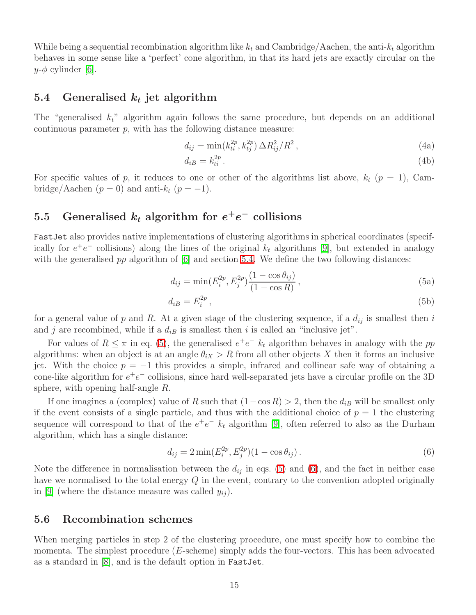While being a sequential recombination algorithm like  $k_t$  and Cambridge/Aachen, the anti- $k_t$  algorithm behaves in some sense like a 'perfect' cone algorithm, in that its hard jets are exactly circular on the  $y-\phi$  cylinder [\[6\]](#page-37-5).

### <span id="page-14-0"></span>5.4 Generalised  $k_t$  jet algorithm

The "generalised  $k_t$ " algorithm again follows the same procedure, but depends on an additional continuous parameter  $p$ , with has the following distance measure:

<span id="page-14-3"></span>
$$
d_{ij} = \min(k_{ti}^{2p}, k_{tj}^{2p}) \,\Delta R_{ij}^2 / R^2 \,, \tag{4a}
$$

$$
d_{iB} = k_{ti}^{2p} \,. \tag{4b}
$$

For specific values of p, it reduces to one or other of the algorithms list above,  $k_t$  ( $p = 1$ ), Cambridge/Aachen ( $p = 0$ ) and anti- $k_t$  ( $p = -1$ ).

# <span id="page-14-1"></span>5.5 Generalised  $k_t$  algorithm for  $e^+e^-$  collisions

FastJet also provides native implementations of clustering algorithms in spherical coordinates (specifically for  $e^+e^-$  collisions) along the lines of the original  $k_t$  algorithms [\[9\]](#page-37-13), but extended in analogy with the generalised pp algorithm of  $[6]$  and section [5.4.](#page-14-0) We define the two following distances:

<span id="page-14-4"></span>
$$
d_{ij} = \min(E_i^{2p}, E_j^{2p}) \frac{(1 - \cos \theta_{ij})}{(1 - \cos R)},
$$
\n(5a)

$$
d_{iB} = E_i^{2p},\tag{5b}
$$

for a general value of p and R. At a given stage of the clustering sequence, if a  $d_{ij}$  is smallest then i and j are recombined, while if a  $d_{iB}$  is smallest then i is called an "inclusive jet".

For values of  $R \leq \pi$  in eq. [\(5\)](#page-14-4), the generalised  $e^+e^- k_t$  algorithm behaves in analogy with the pp algorithms: when an object is at an angle  $\theta_{iX} > R$  from all other objects X then it forms an inclusive jet. With the choice  $p = -1$  this provides a simple, infrared and collinear safe way of obtaining a cone-like algorithm for  $e^+e^-$  collisions, since hard well-separated jets have a circular profile on the 3D sphere, with opening half-angle R.

If one imagines a (complex) value of R such that  $(1-\cos R) > 2$ , then the  $d_{iB}$  will be smallest only if the event consists of a single particle, and thus with the additional choice of  $p = 1$  the clustering sequence will correspond to that of the  $e^+e^ k_t$  algorithm [\[9\]](#page-37-13), often referred to also as the Durham algorithm, which has a single distance:

<span id="page-14-5"></span>
$$
d_{ij} = 2\min(E_i^{2p}, E_j^{2p})(1 - \cos\theta_{ij}).
$$
\n(6)

Note the difference in normalisation between the  $d_{ij}$  in eqs. [\(5\)](#page-14-4) and [\(6\)](#page-14-5), and the fact in neither case have we normalised to the total energy Q in the event, contrary to the convention adopted originally in [\[9\]](#page-37-13) (where the distance measure was called  $y_{ij}$ ).

### <span id="page-14-2"></span>5.6 Recombination schemes

When merging particles in step 2 of the clustering procedure, one must specify how to combine the momenta. The simplest procedure (E-scheme) simply adds the four-vectors. This has been advocated as a standard in [\[8\]](#page-37-7), and is the default option in FastJet.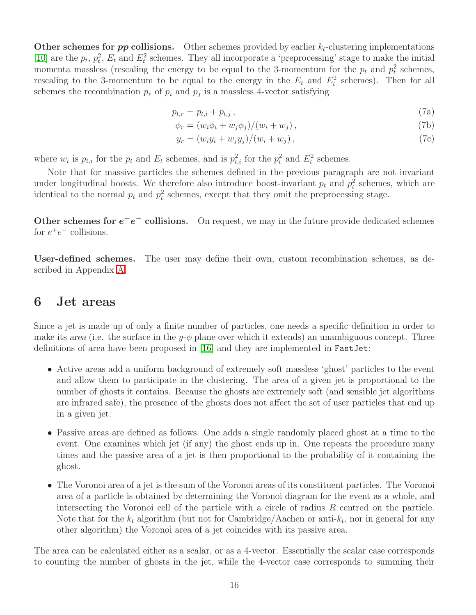Other schemes for pp collisions. Other schemes provided by earlier  $k_t$ -clustering implementations [\[10\]](#page-37-8) are the  $p_t$ ,  $p_t^2$ ,  $E_t$  and  $E_t^2$  schemes. They all incorporate a 'preprocessing' stage to make the initial momenta massless (rescaling the energy to be equal to the 3-momentum for the  $p_t$  and  $p_t^2$  schemes, rescaling to the 3-momentum to be equal to the energy in the  $E_t$  and  $E_t^2$  schemes). Then for all schemes the recombination  $p_r$  of  $p_i$  and  $p_j$  is a massless 4-vector satisfying

$$
p_{t,r} = p_{t,i} + p_{t,j},\tag{7a}
$$

$$
\phi_r = (w_i \phi_i + w_j \phi_j) / (w_i + w_j), \qquad (7b)
$$

$$
y_r = (w_i y_i + w_j y_j)/(w_i + w_j),
$$
\n(7c)

where  $w_i$  is  $p_{t,i}$  for the  $p_t$  and  $E_t$  schemes, and is  $p_{t,i}^2$  for the  $p_t^2$  and  $E_t^2$  schemes.

Note that for massive particles the schemes defined in the previous paragraph are not invariant under longitudinal boosts. We therefore also introduce boost-invariant  $p_t$  and  $p_t^2$  schemes, which are identical to the normal  $p_t$  and  $p_t^2$  schemes, except that they omit the preprocessing stage.

Other schemes for  $e^+e^-$  collisions. On request, we may in the future provide dedicated schemes for  $e^+e^-$  collisions.

User-defined schemes. The user may define their own, custom recombination schemes, as described in Appendix [A.](#page-36-0)

# <span id="page-15-0"></span>6 Jet areas

Since a jet is made up of only a finite number of particles, one needs a specific definition in order to make its area (i.e. the surface in the  $y-\phi$  plane over which it extends) an unambiguous concept. Three definitions of area have been proposed in [\[16\]](#page-38-1) and they are implemented in FastJet:

- Active areas add a uniform background of extremely soft massless 'ghost' particles to the event and allow them to participate in the clustering. The area of a given jet is proportional to the number of ghosts it contains. Because the ghosts are extremely soft (and sensible jet algorithms are infrared safe), the presence of the ghosts does not affect the set of user particles that end up in a given jet.
- Passive areas are defined as follows. One adds a single randomly placed ghost at a time to the event. One examines which jet (if any) the ghost ends up in. One repeats the procedure many times and the passive area of a jet is then proportional to the probability of it containing the ghost.
- The Voronoi area of a jet is the sum of the Voronoi areas of its constituent particles. The Voronoi area of a particle is obtained by determining the Voronoi diagram for the event as a whole, and intersecting the Voronoi cell of the particle with a circle of radius R centred on the particle. Note that for the  $k_t$  algorithm (but not for Cambridge/Aachen or anti- $k_t$ , nor in general for any other algorithm) the Voronoi area of a jet coincides with its passive area.

The area can be calculated either as a scalar, or as a 4-vector. Essentially the scalar case corresponds to counting the number of ghosts in the jet, while the 4-vector case corresponds to summing their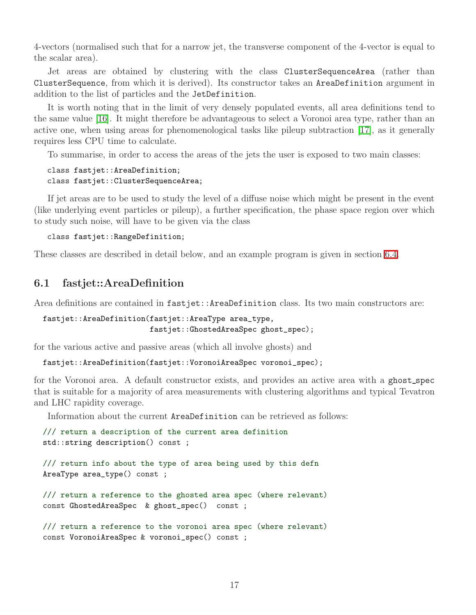4-vectors (normalised such that for a narrow jet, the transverse component of the 4-vector is equal to the scalar area).

Jet areas are obtained by clustering with the class ClusterSequenceArea (rather than ClusterSequence, from which it is derived). Its constructor takes an AreaDefinition argument in addition to the list of particles and the JetDefinition.

It is worth noting that in the limit of very densely populated events, all area definitions tend to the same value [\[16\]](#page-38-1). It might therefore be advantageous to select a Voronoi area type, rather than an active one, when using areas for phenomenological tasks like pileup subtraction [\[17\]](#page-38-2), as it generally requires less CPU time to calculate.

To summarise, in order to access the areas of the jets the user is exposed to two main classes:

```
class fastjet::AreaDefinition;
class fastjet::ClusterSequenceArea;
```
If jet areas are to be used to study the level of a diffuse noise which might be present in the event (like underlying event particles or pileup), a further specification, the phase space region over which to study such noise, will have to be given via the class

```
class fastjet::RangeDefinition;
```
<span id="page-16-0"></span>These classes are described in detail below, and an example program is given in section [6.4.](#page-23-0)

# 6.1 fastjet::AreaDefinition

Area definitions are contained in fast jet::AreaDefinition class. Its two main constructors are:

```
fastjet::AreaDefinition(fastjet::AreaType area_type,
                        fastjet::GhostedAreaSpec ghost_spec);
```
for the various active and passive areas (which all involve ghosts) and

```
fastjet::AreaDefinition(fastjet::VoronoiAreaSpec voronoi_spec);
```
for the Voronoi area. A default constructor exists, and provides an active area with a ghost\_spec that is suitable for a majority of area measurements with clustering algorithms and typical Tevatron and LHC rapidity coverage.

Information about the current AreaDefinition can be retrieved as follows:

```
/// return a description of the current area definition
std::string description() const ;
/// return info about the type of area being used by this defn
AreaType area_type() const ;
/// return a reference to the ghosted area spec (where relevant)
const GhostedAreaSpec & ghost_spec() const ;
/// return a reference to the voronoi area spec (where relevant)
const VoronoiAreaSpec & voronoi_spec() const ;
```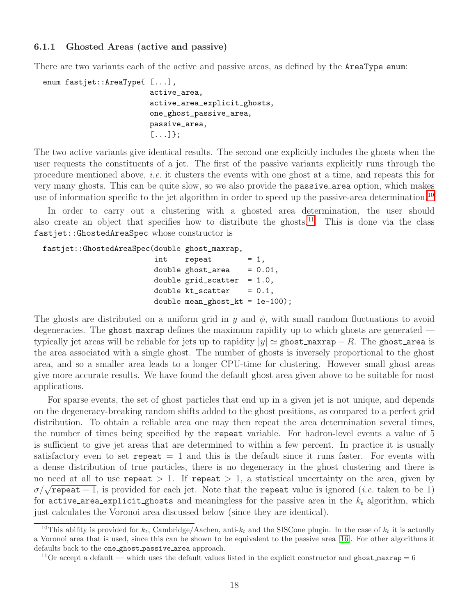#### <span id="page-17-0"></span>6.1.1 Ghosted Areas (active and passive)

There are two variants each of the active and passive areas, as defined by the AreaType enum:

```
enum fastjet::AreaType{ [...],
                         active_area,
                         active_area_explicit_ghosts,
                         one_ghost_passive_area,
                         passive_area,
                         [...]};
```
The two active variants give identical results. The second one explicitly includes the ghosts when the user requests the constituents of a jet. The first of the passive variants explicitly runs through the procedure mentioned above, i.e. it clusters the events with one ghost at a time, and repeats this for very many ghosts. This can be quite slow, so we also provide the passive area option, which makes use of information specific to the jet algorithm in order to speed up the passive-area determination.<sup>[10](#page-17-1)</sup>

In order to carry out a clustering with a ghosted area determination, the user should also create an object that specifies how to distribute the ghosts.<sup>[11](#page-17-2)</sup> This is done via the class fastjet::GhostedAreaSpec whose constructor is

```
fastjet::GhostedAreaSpec(double ghost_maxrap,
```

| int | repeat                            | $= 1$ ,   |
|-----|-----------------------------------|-----------|
|     | double ghost_area                 | $= 0.01,$ |
|     | double $grid\_scatter = 1.0$ ,    |           |
|     | double $kt_s$ catter = 0.1,       |           |
|     | double mean_ghost_kt = $1e-100$ ; |           |

The ghosts are distributed on a uniform grid in y and  $\phi$ , with small random fluctuations to avoid degeneracies. The ghost maxrap defines the maximum rapidity up to which ghosts are generated  $$ typically jet areas will be reliable for jets up to rapidity  $|y| \simeq$  ghost maxrap – R. The ghost area is the area associated with a single ghost. The number of ghosts is inversely proportional to the ghost area, and so a smaller area leads to a longer CPU-time for clustering. However small ghost areas give more accurate results. We have found the default ghost area given above to be suitable for most applications.

For sparse events, the set of ghost particles that end up in a given jet is not unique, and depends on the degeneracy-breaking random shifts added to the ghost positions, as compared to a perfect grid distribution. To obtain a reliable area one may then repeat the area determination several times, the number of times being specified by the repeat variable. For hadron-level events a value of 5 is sufficient to give jet areas that are determined to within a few percent. In practice it is usually satisfactory even to set repeat  $= 1$  and this is the default since it runs faster. For events with a dense distribution of true particles, there is no degeneracy in the ghost clustering and there is no need at all to use repeat  $> 1$ . If repeat  $> 1$ , a statistical uncertainty on the area, given by  $\sigma/\sqrt{\text{repeat}-1}$ , is provided for each jet. Note that the repeat value is ignored (*i.e.* taken to be 1) for active area explicit ghosts and meaningless for the passive area in the  $k_t$  algorithm, which just calculates the Voronoi area discussed below (since they are identical).

<span id="page-17-1"></span><sup>&</sup>lt;sup>10</sup>This ability is provided for  $k_t$ , Cambridge/Aachen, anti- $k_t$  and the SISCone plugin. In the case of  $k_t$  it is actually a Voronoi area that is used, since this can be shown to be equivalent to the passive area [\[16\]](#page-38-1). For other algorithms it defaults back to the one ghost passive area approach.

<span id="page-17-2"></span><sup>&</sup>lt;sup>11</sup>Or accept a default — which uses the default values listed in the explicit constructor and ghost maxrap = 6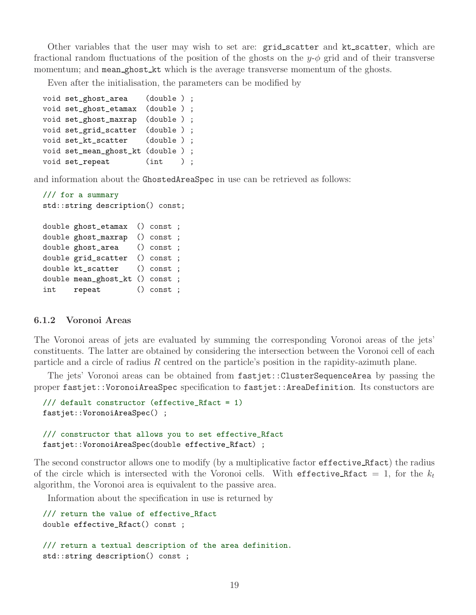Other variables that the user may wish to set are: grid\_scatter and kt\_scatter, which are fractional random fluctuations of the position of the ghosts on the  $y-\phi$  grid and of their transverse momentum; and mean ghost kt which is the average transverse momentum of the ghosts.

Even after the initialisation, the parameters can be modified by

```
void set_ghost_area (double ) ;
void set_ghost_etamax (double ) ;
void set_ghost_maxrap (double ) ;
void set_grid_scatter (double ) ;
void set_kt_scatter (double ) ;
void set_mean_ghost_kt (double ) ;
void set_repeat (int ) ;
```
and information about the GhostedAreaSpec in use can be retrieved as follows:

```
/// for a summary
std::string description() const;
double ghost_etamax () const ;
double ghost_maxrap () const ;
double ghost_area () const ;
double grid_scatter () const ;
double kt_scatter () const ;
double mean_ghost_kt () const ;
int repeat () const ;
```
#### <span id="page-18-0"></span>6.1.2 Voronoi Areas

The Voronoi areas of jets are evaluated by summing the corresponding Voronoi areas of the jets' constituents. The latter are obtained by considering the intersection between the Voronoi cell of each particle and a circle of radius R centred on the particle's position in the rapidity-azimuth plane.

The jets' Voronoi areas can be obtained from fastjet::ClusterSequenceArea by passing the proper fastjet::VoronoiAreaSpec specification to fastjet::AreaDefinition. Its constuctors are

```
/// default constructor (effective_Rfact = 1)
fastjet::VoronoiAreaSpec() ;
```
/// constructor that allows you to set effective\_Rfact fastjet::VoronoiAreaSpec(double effective\_Rfact) ;

The second constructor allows one to modify (by a multiplicative factor effective Rfact) the radius of the circle which is intersected with the Voronoi cells. With effective Rfact = 1, for the  $k_t$ algorithm, the Voronoi area is equivalent to the passive area.

Information about the specification in use is returned by

```
/// return the value of effective_Rfact
double effective_Rfact() const ;
/// return a textual description of the area definition.
std::string description() const ;
```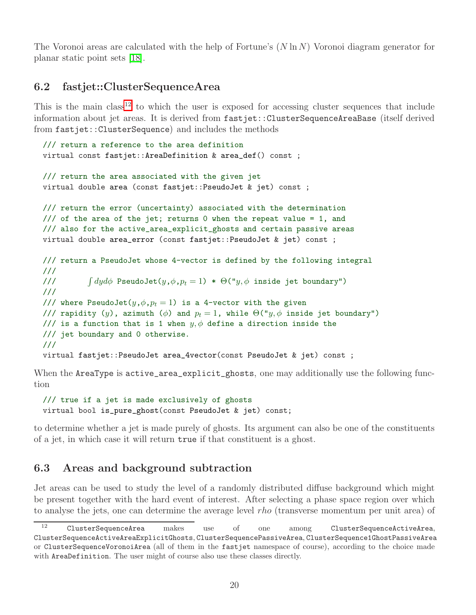The Voronoi areas are calculated with the help of Fortune's  $(N \ln N)$  Voronoi diagram generator for planar static point sets [\[18\]](#page-38-3).

# <span id="page-19-0"></span>6.2 fastjet::ClusterSequenceArea

This is the main class<sup>[12](#page-19-2)</sup> to which the user is exposed for accessing cluster sequences that include information about jet areas. It is derived from fastjet::ClusterSequenceAreaBase (itself derived from fastjet::ClusterSequence) and includes the methods

```
/// return a reference to the area definition
virtual const fastjet::AreaDefinition & area_def() const ;
/// return the area associated with the given jet
virtual double area (const fastjet::PseudoJet & jet) const ;
/// return the error (uncertainty) associated with the determination
/// of the area of the jet; returns 0 when the repeat value = 1, and
/// also for the active_area_explicit_ghosts and certain passive areas
virtual double area_error (const fastjet::PseudoJet & jet) const ;
/// return a PseudoJet whose 4-vector is defined by the following integral
///
///\int dy d\phi PseudoJet(y, \phi, p_t = 1) \ast \Theta("y, \phi \text{ inside jet boundary}")///
/// where PseudoJet(y, \phi, p_t = 1) is a 4-vector with the given
/// rapidity (y), azimuth (\phi) and p_t = 1, while \Theta("y, \phi inside jet boundary")
/// is a function that is 1 when y, \phi define a direction inside the
/// jet boundary and 0 otherwise.
///
virtual fastjet::PseudoJet area_4vector(const PseudoJet & jet) const ;
```
When the AreaType is active\_area\_explicit\_ghosts, one may additionally use the following function

```
/// true if a jet is made exclusively of ghosts
virtual bool is_pure_ghost(const PseudoJet & jet) const;
```
to determine whether a jet is made purely of ghosts. Its argument can also be one of the constituents of a jet, in which case it will return true if that constituent is a ghost.

# <span id="page-19-1"></span>6.3 Areas and background subtraction

Jet areas can be used to study the level of a randomly distributed diffuse background which might be present together with the hard event of interest. After selecting a phase space region over which to analyse the jets, one can determine the average level rho (transverse momentum per unit area) of

<span id="page-19-2"></span><sup>12</sup> ClusterSequenceArea makes use of one among ClusterSequenceActiveArea, ClusterSequenceActiveAreaExplicitGhosts, ClusterSequencePassiveArea, ClusterSequence1GhostPassiveArea or ClusterSequenceVoronoiArea (all of them in the fastjet namespace of course), according to the choice made with AreaDefinition. The user might of course also use these classes directly.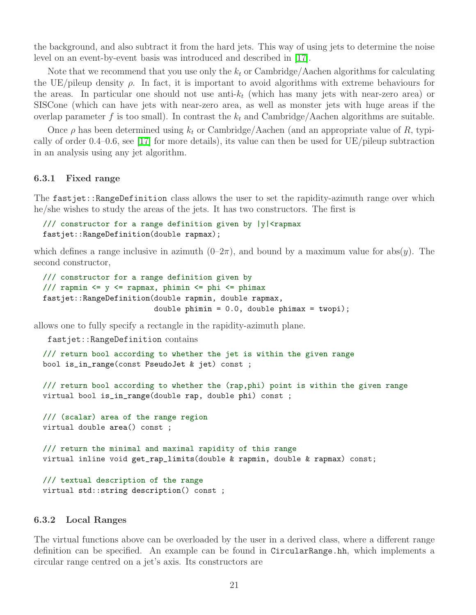the background, and also subtract it from the hard jets. This way of using jets to determine the noise level on an event-by-event basis was introduced and described in [\[17\]](#page-38-2).

Note that we recommend that you use only the  $k_t$  or Cambridge/Aachen algorithms for calculating the UE/pileup density  $\rho$ . In fact, it is important to avoid algorithms with extreme behaviours for the areas. In particular one should not use anti- $k_t$  (which has many jets with near-zero area) or SISCone (which can have jets with near-zero area, as well as monster jets with huge areas if the overlap parameter f is too small). In contrast the  $k_t$  and Cambridge/Aachen algorithms are suitable.

Once  $\rho$  has been determined using  $k_t$  or Cambridge/Aachen (and an appropriate value of R, typically of order 0.4–0.6, see [\[17\]](#page-38-2) for more details), its value can then be used for UE/pileup subtraction in an analysis using any jet algorithm.

#### <span id="page-20-0"></span>6.3.1 Fixed range

The fast jet::RangeDefinition class allows the user to set the rapidity-azimuth range over which he/she wishes to study the areas of the jets. It has two constructors. The first is

```
/// constructor for a range definition given by |y|<rapmax
fastjet::RangeDefinition(double rapmax);
```
which defines a range inclusive in azimuth  $(0-2\pi)$ , and bound by a maximum value for abs(y). The second constructor,

```
/// constructor for a range definition given by
/// rapmin <= y <= rapmax, phimin <= phi <= phimax
fastjet::RangeDefinition(double rapmin, double rapmax,
                         double phimin = 0.0, double phimax = twopi;
```
allows one to fully specify a rectangle in the rapidity-azimuth plane.

```
fastjet::RangeDefinition contains
```

```
/// return bool according to whether the jet is within the given range
bool is_in_range(const PseudoJet & jet) const ;
```
/// return bool according to whether the (rap,phi) point is within the given range virtual bool is\_in\_range(double rap, double phi) const ;

/// (scalar) area of the range region virtual double area() const ;

/// return the minimal and maximal rapidity of this range virtual inline void get\_rap\_limits(double & rapmin, double & rapmax) const;

/// textual description of the range virtual std::string description() const ;

#### <span id="page-20-1"></span>6.3.2 Local Ranges

The virtual functions above can be overloaded by the user in a derived class, where a different range definition can be specified. An example can be found in CircularRange.hh, which implements a circular range centred on a jet's axis. Its constructors are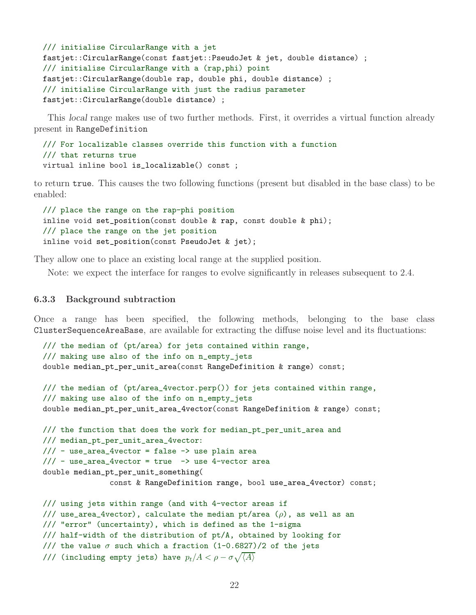```
/// initialise CircularRange with a jet
fastjet::CircularRange(const fastjet::PseudoJet & jet, double distance) ;
/// initialise CircularRange with a (rap,phi) point
fastjet::CircularRange(double rap, double phi, double distance) ;
/// initialise CircularRange with just the radius parameter
fastjet::CircularRange(double distance) ;
```
This local range makes use of two further methods. First, it overrides a virtual function already present in RangeDefinition

```
/// For localizable classes override this function with a function
/// that returns true
virtual inline bool is_localizable() const ;
```
to return true. This causes the two following functions (present but disabled in the base class) to be enabled:

```
/// place the range on the rap-phi position
inline void set_position(const double & rap, const double & phi);
/// place the range on the jet position
inline void set_position(const PseudoJet & jet);
```
They allow one to place an existing local range at the supplied position.

Note: we expect the interface for ranges to evolve significantly in releases subsequent to 2.4.

#### <span id="page-21-0"></span>6.3.3 Background subtraction

Once a range has been specified, the following methods, belonging to the base class ClusterSequenceAreaBase, are available for extracting the diffuse noise level and its fluctuations:

```
/// the median of (pt/area) for jets contained within range,
/// making use also of the info on n_empty_jets
double median_pt_per_unit_area(const RangeDefinition & range) const;
/// the median of (pt/area_4vector.perp()) for jets contained within range,
```

```
/// making use also of the info on n_empty_jets
double median_pt_per_unit_area_4vector(const RangeDefinition & range) const;
```

```
/// the function that does the work for median_pt_per_unit_area and
/// median_pt_per_unit_area_4vector:
// - use_area_4vector = false -> use plain area// - use_area_4vector = true -> use 4-vector areadouble median_pt_per_unit_something(
```
const & RangeDefinition range, bool use\_area\_4vector) const;

```
/// using jets within range (and with 4-vector areas if
```

```
/// use_area_4vector), calculate the median pt/area (\rho), as well as an
```

```
/// "error" (uncertainty), which is defined as the 1-sigma
```

```
/// half-width of the distribution of pt/A, obtained by looking for
```

```
/// the value \sigma such which a fraction (1-0.6827)/2 of the jets
```
/// (including empty jets) have  $p_t/A < \rho - \sigma \sqrt{\langle A \rangle}$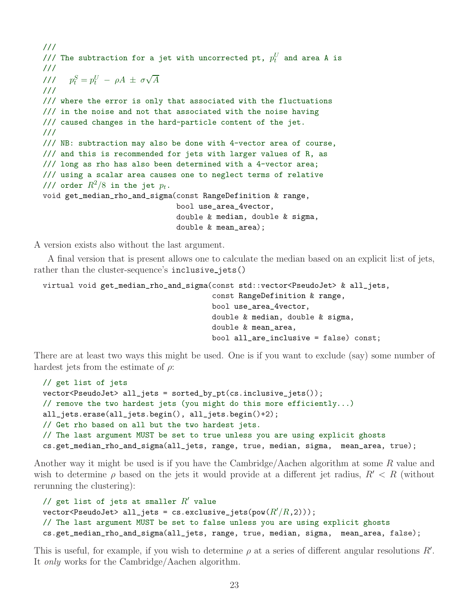```
///
/// The subtraction for a jet with uncorrected pt, p_t^U and area A is
///
///S_t^S = p_t^U - \rho A \pm \sigma \sqrt{A}///
/// where the error is only that associated with the fluctuations
/// in the noise and not that associated with the noise having
/// caused changes in the hard-particle content of the jet.
///
/// NB: subtraction may also be done with 4-vector area of course,
/// and this is recommended for jets with larger values of R, as
/// long as rho has also been determined with a 4-vector area;
/// using a scalar area causes one to neglect terms of relative
/// order R^2/8 in the jet p_t.
void get_median_rho_and_sigma(const RangeDefinition & range,
                               bool use_area_4vector,
                               double & median, double & sigma,
                               double & mean_area);
```
A version exists also without the last argument.

A final version that is present allows one to calculate the median based on an explicit li:st of jets, rather than the cluster-sequence's inclusive jets()

```
virtual void get_median_rho_and_sigma(const std::vector<PseudoJet> & all_jets,
                                      const RangeDefinition & range,
                                      bool use_area_4vector,
                                      double & median, double & sigma,
                                      double & mean_area,
                                      bool all_are_inclusive = false) const;
```
There are at least two ways this might be used. One is if you want to exclude (say) some number of hardest jets from the estimate of  $\rho$ :

```
// get list of jets
vector<PseudoJet> all_jets = sorted_by_pt(cs.inclusive_jets());
// remove the two hardest jets (you might do this more efficiently...)
all_jets.erase(all_jets.begin(), all_jets.begin()+2);
// Get rho based on all but the two hardest jets.
// The last argument MUST be set to true unless you are using explicit ghosts
cs.get_median_rho_and_sigma(all_jets, range, true, median, sigma, mean_area, true);
```
Another way it might be used is if you have the Cambridge/Aachen algorithm at some  $R$  value and wish to determine  $\rho$  based on the jets it would provide at a different jet radius,  $R' < R$  (without rerunning the clustering):

```
// get list of jets at smaller R' value
vector<PseudoJet> all_jets = cs.exclusive_jets(pow(R'/R,2)));
// The last argument MUST be set to false unless you are using explicit ghosts
cs.get_median_rho_and_sigma(all_jets, range, true, median, sigma, mean_area, false);
```
This is useful, for example, if you wish to determine  $\rho$  at a series of different angular resolutions  $R'$ . It only works for the Cambridge/Aachen algorithm.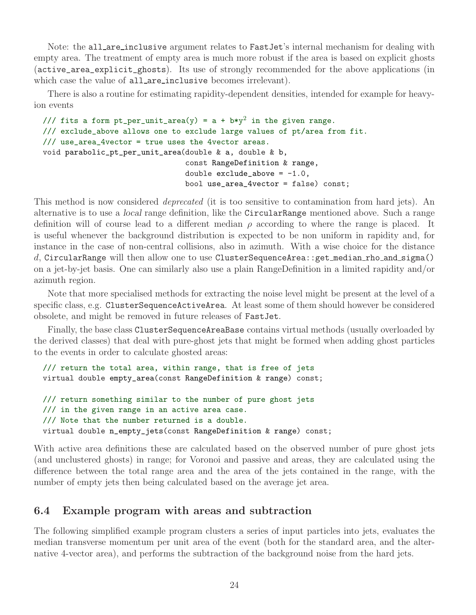Note: the all\_are\_inclusive argument relates to FastJet's internal mechanism for dealing with empty area. The treatment of empty area is much more robust if the area is based on explicit ghosts (active\_area\_explicit\_ghosts). Its use of strongly recommended for the above applications (in which case the value of all are inclusive becomes irrelevant).

There is also a routine for estimating rapidity-dependent densities, intended for example for heavyion events

```
/// fits a form pt_per_unit_area(y) = a + b*y<sup>2</sup> in the given range.
/// exclude_above allows one to exclude large values of pt/area from fit.
/// use_area_4vector = true uses the 4vector areas.
void parabolic_pt_per_unit_area(double & a, double & b,
                                 const RangeDefinition & range,
                                 double exclude\_above = -1.0,
                                 bool use_area_4vector = false) const;
```
This method is now considered *deprecated* (it is too sensitive to contamination from hard jets). An alternative is to use a local range definition, like the CircularRange mentioned above. Such a range definition will of course lead to a different median  $\rho$  according to where the range is placed. It is useful whenever the background distribution is expected to be non uniform in rapidity and, for instance in the case of non-central collisions, also in azimuth. With a wise choice for the distance d, CircularRange will then allow one to use ClusterSequenceArea::get\_median\_rho\_and\_sigma() on a jet-by-jet basis. One can similarly also use a plain RangeDefinition in a limited rapidity and/or azimuth region.

Note that more specialised methods for extracting the noise level might be present at the level of a specific class, e.g. ClusterSequenceActiveArea. At least some of them should however be considered obsolete, and might be removed in future releases of FastJet.

Finally, the base class ClusterSequenceAreaBase contains virtual methods (usually overloaded by the derived classes) that deal with pure-ghost jets that might be formed when adding ghost particles to the events in order to calculate ghosted areas:

```
/// return the total area, within range, that is free of jets
virtual double empty_area(const RangeDefinition & range) const;
/// return something similar to the number of pure ghost jets
/// in the given range in an active area case.
/// Note that the number returned is a double.
virtual double n_empty_jets(const RangeDefinition & range) const;
```
With active area definitions these are calculated based on the observed number of pure ghost jets (and unclustered ghosts) in range; for Voronoi and passive and areas, they are calculated using the difference between the total range area and the area of the jets contained in the range, with the number of empty jets then being calculated based on the average jet area.

# <span id="page-23-0"></span>6.4 Example program with areas and subtraction

The following simplified example program clusters a series of input particles into jets, evaluates the median transverse momentum per unit area of the event (both for the standard area, and the alternative 4-vector area), and performs the subtraction of the background noise from the hard jets.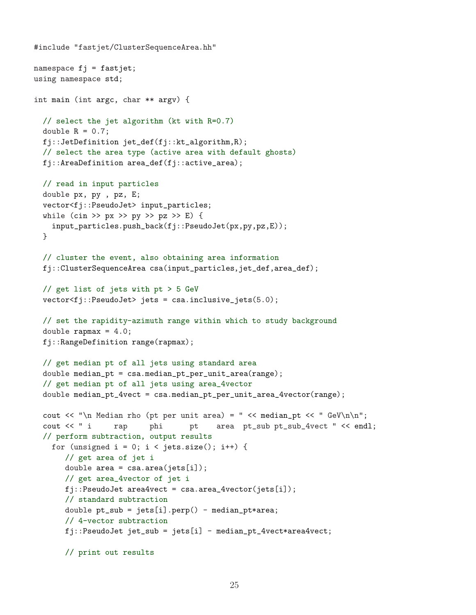```
#include "fastjet/ClusterSequenceArea.hh"
namespace f_j = fastjet;using namespace std;
int main (int argc, char ** argv) {
  // select the jet algorithm (kt with R=0.7)
  double R = 0.7;
  fj::JetDefinition jet_def(fj::kt_algorithm,R);
  // select the area type (active area with default ghosts)
  fj::AreaDefinition area_def(fj::active_area);
  // read in input particles
  double px, py , pz, E;
  vector<fj::PseudoJet> input_particles;
  while (cin >> px >> py >> pz >> E) {
    input_particles.push_back(fj::PseudoJet(px,py,pz,E));
  }
  // cluster the event, also obtaining area information
  fj::ClusterSequenceArea csa(input_particles,jet_def,area_def);
  // get list of jets with pt > 5 GeV
  vector<fj::PseudoJet> jets = csa.inclusive_jets(5.0);
  // set the rapidity-azimuth range within which to study background
  double rapmax = 4.0;
  fj::RangeDefinition range(rapmax);
  // get median pt of all jets using standard area
  double median_pt = csa.median_pt_per_unit_area(range);
  // get median pt of all jets using area_4vector
  double median_pt_4vect = csa.median_pt_per_unit_area_4vector(range);
  cout \langle \cdot \rangle " Median rho (pt per unit area) = " \langle \cdot \rangle median_pt \langle \cdot \rangle " GeV\n\n";
  cout << " i rap  phi  pt  area  pt_sub pt_sub_4vect " << endl;
  // perform subtraction, output results
    for (unsigned i = 0; i < jets.size(); i++) {
       // get area of jet i
       double area = csa.area(jets[i]);// get area_4vector of jet i
       fj::PseudoJet area4vect = csa.area_4vector(jets[i]);
       // standard subtraction
       double pt\_sub = jets[i].perp() - median\_pt*area;// 4-vector subtraction
       fj::PseudoJet jet_sub = jets[i] - median_pt_4vect*area4vect;
       // print out results
```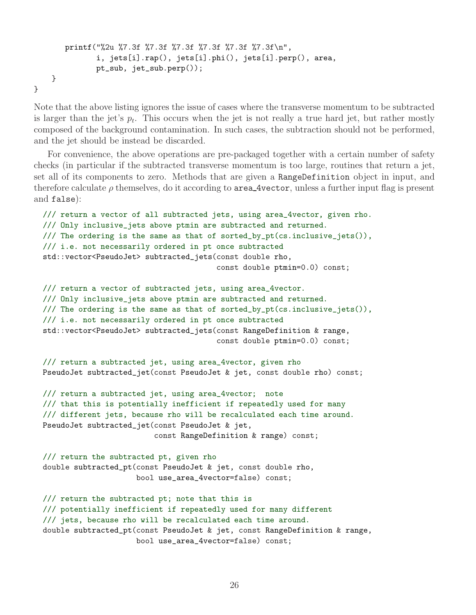```
printf("%2u %7.3f %7.3f %7.3f %7.3f %7.3f %7.3f\n",
              i, jets[i].rap(), jets[i].phi(), jets[i].perp(), area,
              pt_sub, jet_sub.perp());
    }
}
```
Note that the above listing ignores the issue of cases where the transverse momentum to be subtracted is larger than the jet's  $p_t$ . This occurs when the jet is not really a true hard jet, but rather mostly composed of the background contamination. In such cases, the subtraction should not be performed, and the jet should be instead be discarded.

For convenience, the above operations are pre-packaged together with a certain number of safety checks (in particular if the subtracted transverse momentum is too large, routines that return a jet, set all of its components to zero. Methods that are given a RangeDefinition object in input, and therefore calculate  $\rho$  themselves, do it according to area 4vector, unless a further input flag is present and false):

```
/// return a vector of all subtracted jets, using area_4vector, given rho.
/// Only inclusive_jets above ptmin are subtracted and returned.
/// The ordering is the same as that of sorted_by_pt(cs.inclusive_jets()),
/// i.e. not necessarily ordered in pt once subtracted
std::vector<PseudoJet> subtracted_jets(const double rho,
                                       const double ptmin=0.0) const;
/// return a vector of subtracted jets, using area_4vector.
/// Only inclusive_jets above ptmin are subtracted and returned.
/// The ordering is the same as that of sorted_by_pt(cs.inclusive_jets()),
/// i.e. not necessarily ordered in pt once subtracted
std::vector<PseudoJet> subtracted_jets(const RangeDefinition & range,
                                       const double ptmin=0.0) const;
/// return a subtracted jet, using area_4vector, given rho
PseudoJet subtracted_jet(const PseudoJet & jet, const double rho) const;
/// return a subtracted jet, using area_4vector; note
/// that this is potentially inefficient if repeatedly used for many
/// different jets, because rho will be recalculated each time around.
PseudoJet subtracted_jet(const PseudoJet & jet,
                         const RangeDefinition & range) const;
/// return the subtracted pt, given rho
double subtracted_pt(const PseudoJet & jet, const double rho,
                     bool use_area_4vector=false) const;
```
/// return the subtracted pt; note that this is /// potentially inefficient if repeatedly used for many different /// jets, because rho will be recalculated each time around. double subtracted\_pt(const PseudoJet & jet, const RangeDefinition & range, bool use\_area\_4vector=false) const;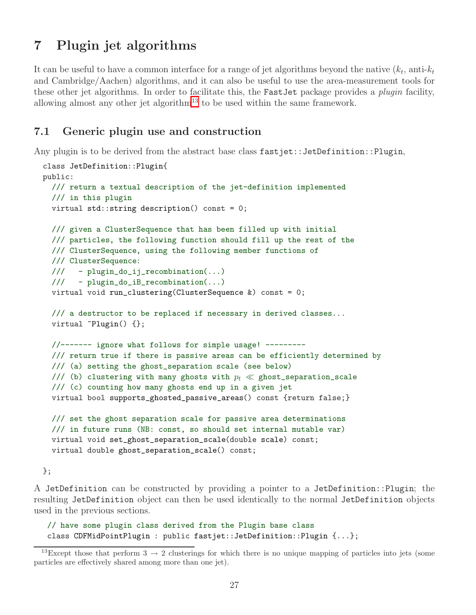# <span id="page-26-0"></span>7 Plugin jet algorithms

It can be useful to have a common interface for a range of jet algorithms beyond the native  $(k_t, \text{anti-}k_t)$ and Cambridge/Aachen) algorithms, and it can also be useful to use the area-measurement tools for these other jet algorithms. In order to facilitate this, the FastJet package provides a *plugin* facility, allowing almost any other jet algorithm<sup>[13](#page-26-2)</sup> to be used within the same framework.

# <span id="page-26-1"></span>7.1 Generic plugin use and construction

Any plugin is to be derived from the abstract base class fastjet::JetDefinition::Plugin,

```
class JetDefinition::Plugin{
public:
  /// return a textual description of the jet-definition implemented
  /// in this plugin
  virtual std::string description() const = 0;
  /// given a ClusterSequence that has been filled up with initial
  /// particles, the following function should fill up the rest of the
  /// ClusterSequence, using the following member functions of
  /// ClusterSequence:
  /// - plugin_do_ij_recombination(...)
  /// - plugin_do_iB_recombination(...)
  virtual void run_clustering(ClusterSequence &) const = 0;
 /// a destructor to be replaced if necessary in derived classes...
 virtual "Plugin() {};
 //------- ignore what follows for simple usage! ---------
  /// return true if there is passive areas can be efficiently determined by
  /// (a) setting the ghost_separation scale (see below)
  /// (b) clustering with many ghosts with p_t \ll ghost_separation_scale
  /// (c) counting how many ghosts end up in a given jet
  virtual bool supports_ghosted_passive_areas() const {return false;}
 /// set the ghost separation scale for passive area determinations
  /// in future runs (NB: const, so should set internal mutable var)
  virtual void set_ghost_separation_scale(double scale) const;
  virtual double ghost_separation_scale() const;
```
};

A JetDefinition can be constructed by providing a pointer to a JetDefinition::Plugin; the resulting JetDefinition object can then be used identically to the normal JetDefinition objects used in the previous sections.

// have some plugin class derived from the Plugin base class class CDFMidPointPlugin : public fastjet::JetDefinition::Plugin {...};

<span id="page-26-2"></span><sup>&</sup>lt;sup>13</sup>Except those that perform  $3 \rightarrow 2$  clusterings for which there is no unique mapping of particles into jets (some particles are effectively shared among more than one jet).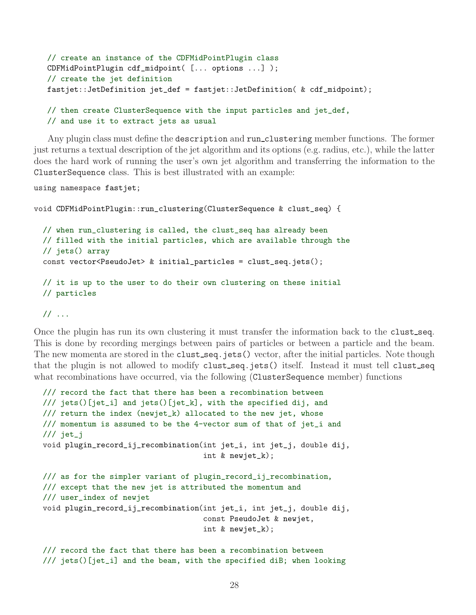```
// create an instance of the CDFMidPointPlugin class
CDFMidPointPlugin cdf_midpoint( [... options ...] );
// create the jet definition
fastjet::JetDefinition jet_def = fastjet::JetDefinition( & cdf_midpoint);
// then create ClusterSequence with the input particles and jet_def,
// and use it to extract jets as usual
```
Any plugin class must define the description and run\_clustering member functions. The former just returns a textual description of the jet algorithm and its options (e.g. radius, etc.), while the latter does the hard work of running the user's own jet algorithm and transferring the information to the ClusterSequence class. This is best illustrated with an example:

using namespace fastjet;

```
void CDFMidPointPlugin::run_clustering(ClusterSequence & clust_seq) {
  // when run_clustering is called, the clust_seq has already been
  // filled with the initial particles, which are available through the
  // jets() array
  const vector<PseudoJet> & initial_particles = clust_seq.jets();
  // it is up to the user to do their own clustering on these initial
  // particles
```

```
// ...
```
Once the plugin has run its own clustering it must transfer the information back to the clust\_seq. This is done by recording mergings between pairs of particles or between a particle and the beam. The new momenta are stored in the **clust\_seq**.jets() vector, after the initial particles. Note though that the plugin is not allowed to modify clust\_seq.jets() itself. Instead it must tell clust\_seq what recombinations have occurred, via the following (ClusterSequence member) functions

```
/// record the fact that there has been a recombination between
/// jets()[jet_i] and jets()[jet_k], with the specified dij, and
/// return the index (newjet_k) allocated to the new jet, whose
/// momentum is assumed to be the 4-vector sum of that of jet_i and
/// jet_j
void plugin_record_ij_recombination(int jet_i, int jet_j, double dij,
                                    int & newjet_k);
/// as for the simpler variant of plugin_record_ij_recombination,
/// except that the new jet is attributed the momentum and
/// user_index of newjet
void plugin_record_ij_recombination(int jet_i, int jet_j, double dij,
                                    const PseudoJet & newjet,
                                    int & newjet_k);
/// record the fact that there has been a recombination between
```

```
/// jets()[jet_i] and the beam, with the specified diB; when looking
```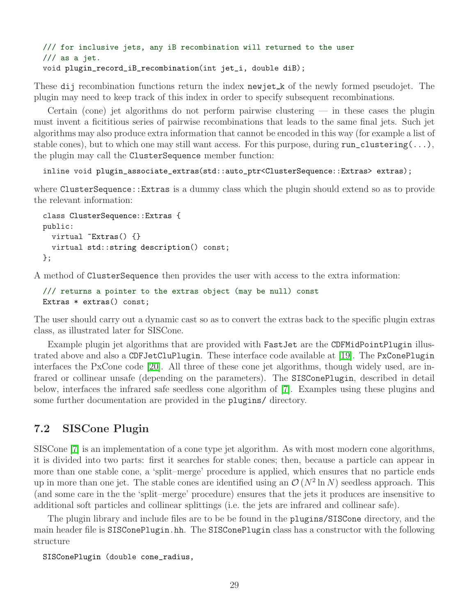```
/// for inclusive jets, any iB recombination will returned to the user
// as a jet.
void plugin_record_iB_recombination(int jet_i, double diB);
```
These dij recombination functions return the index newjet k of the newly formed pseudojet. The plugin may need to keep track of this index in order to specify subsequent recombinations.

Certain (cone) jet algorithms do not perform pairwise clustering  $-$  in these cases the plugin must invent a ficititious series of pairwise recombinations that leads to the same final jets. Such jet algorithms may also produce extra information that cannot be encoded in this way (for example a list of stable cones), but to which one may still want access. For this purpose, during  $run\_clustering(...),$ the plugin may call the ClusterSequence member function:

inline void plugin\_associate\_extras(std::auto\_ptr<ClusterSequence::Extras> extras);

where ClusterSequence::Extras is a dummy class which the plugin should extend so as to provide the relevant information:

```
class ClusterSequence::Extras {
public:
 virtual "Extras() {}
  virtual std::string description() const;
};
```
A method of ClusterSequence then provides the user with access to the extra information:

```
/// returns a pointer to the extras object (may be null) const
Extras * extras() const;
```
The user should carry out a dynamic cast so as to convert the extras back to the specific plugin extras class, as illustrated later for SISCone.

Example plugin jet algorithms that are provided with FastJet are the CDFMidPointPlugin illustrated above and also a CDFJetCluPlugin. These interface code available at [\[19\]](#page-38-4). The PxConePlugin interfaces the PxCone code [\[20\]](#page-38-5). All three of these cone jet algorithms, though widely used, are infrared or collinear unsafe (depending on the parameters). The SISConePlugin, described in detail below, interfaces the infrared safe seedless cone algorithm of [\[7\]](#page-37-6). Examples using these plugins and some further documentation are provided in the plugins/ directory.

## <span id="page-28-0"></span>7.2 SISCone Plugin

SISCone [\[7\]](#page-37-6) is an implementation of a cone type jet algorithm. As with most modern cone algorithms, it is divided into two parts: first it searches for stable cones; then, because a particle can appear in more than one stable cone, a 'split–merge' procedure is applied, which ensures that no particle ends up in more than one jet. The stable cones are identified using an  $\mathcal{O}(N^2 \ln N)$  seedless approach. This (and some care in the the 'split–merge' procedure) ensures that the jets it produces are insensitive to additional soft particles and collinear splittings (i.e. the jets are infrared and collinear safe).

The plugin library and include files are to be be found in the plugins/SISCone directory, and the main header file is SISConePlugin.hh. The SISConePlugin class has a constructor with the following structure

SISConePlugin (double cone\_radius,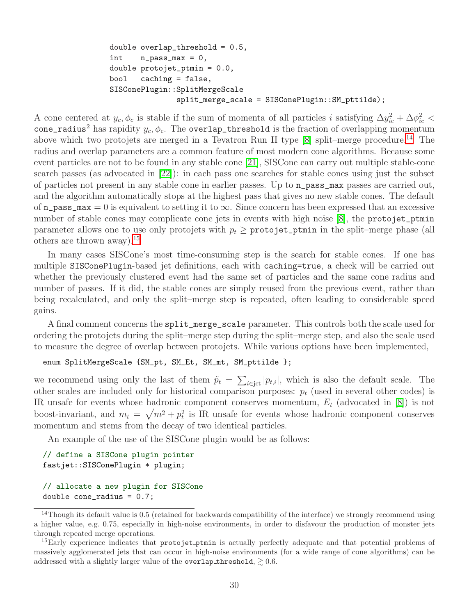```
double overlap_threshold = 0.5,
int n_pass_max = 0,
double protojet_ptmin = 0.0,
bool caching = false,
SISConePlugin::SplitMergeScale
               split_merge_scale = SISConePlugin::SM_pttilde);
```
A cone centered at  $y_c, \phi_c$  is stable if the sum of momenta of all particles i satisfying  $\Delta y_{ic}^2 + \Delta \phi_{ic}^2$ cone\_radius<sup>2</sup> has rapidity  $y_c, \phi_c$ . The overlap\_threshold is the fraction of overlapping momentum above which two protojets are merged in a Tevatron Run II type  $[8]$  split–merge procedure.<sup>[14](#page-29-0)</sup> The radius and overlap parameters are a common feature of most modern cone algorithms. Because some event particles are not to be found in any stable cone [\[21\]](#page-38-6), SISCone can carry out multiple stable-cone search passes (as advocated in [\[22\]](#page-38-7)): in each pass one searches for stable cones using just the subset of particles not present in any stable cone in earlier passes. Up to n\_pass\_max passes are carried out, and the algorithm automatically stops at the highest pass that gives no new stable cones. The default of n\_pass\_max = 0 is equivalent to setting it to  $\infty$ . Since concern has been expressed that an excessive number of stable cones may complicate cone jets in events with high noise [\[8\]](#page-37-7), the protojet\_ptmin parameter allows one to use only protojets with  $p_t \geq \text{protojet}\_ptmin$  in the split–merge phase (all others are thrown away).<sup>[15](#page-29-1)</sup>

In many cases SISCone's most time-consuming step is the search for stable cones. If one has multiple SISConePlugin-based jet definitions, each with caching=true, a check will be carried out whether the previously clustered event had the same set of particles and the same cone radius and number of passes. If it did, the stable cones are simply reused from the previous event, rather than being recalculated, and only the split–merge step is repeated, often leading to considerable speed gains.

A final comment concerns the split\_merge\_scale parameter. This controls both the scale used for ordering the protojets during the split–merge step during the split–merge step, and also the scale used to measure the degree of overlap between protojets. While various options have been implemented,

#### enum SplitMergeScale {SM\_pt, SM\_Et, SM\_mt, SM\_pttilde };

we recommend using only the last of them  $\tilde{p}_t = \sum_{i \in \text{jet}} |p_{t,i}|$ , which is also the default scale. The other scales are included only for historical comparison purposes:  $p_t$  (used in several other codes) is IR unsafe for events whose hadronic component conserves momentum,  $E_t$  (advocated in [\[8\]](#page-37-7)) is not boost-invariant, and  $m_t = \sqrt{m^2 + p_t^2}$  is IR unsafe for events whose hadronic component conserves momentum and stems from the decay of two identical particles.

An example of the use of the SISCone plugin would be as follows:

// define a SISCone plugin pointer fastjet::SISConePlugin \* plugin;

```
// allocate a new plugin for SISCone
double cone\_radius = 0.7;
```
<span id="page-29-0"></span><sup>&</sup>lt;sup>14</sup>Though its default value is 0.5 (retained for backwards compatibility of the interface) we strongly recommend using a higher value, e.g. 0.75, especially in high-noise environments, in order to disfavour the production of monster jets through repeated merge operations.

<span id="page-29-1"></span><sup>&</sup>lt;sup>15</sup>Early experience indicates that protojet ptmin is actually perfectly adequate and that potential problems of massively agglomerated jets that can occur in high-noise environments (for a wide range of cone algorithms) can be addressed with a slightly larger value of the overlap threshold,  $\geq 0.6$ .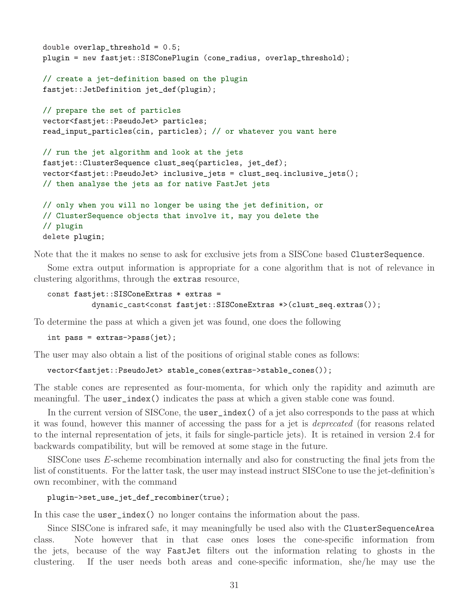```
double overlap_threshold = 0.5;
plugin = new fastjet::SISConePlugin (cone_radius, overlap_threshold);
// create a jet-definition based on the plugin
fastjet::JetDefinition jet_def(plugin);
// prepare the set of particles
vector<fastjet::PseudoJet> particles;
read_input_particles(cin, particles); // or whatever you want here
// run the jet algorithm and look at the jets
fastjet::ClusterSequence clust_seq(particles, jet_def);
vector<fastjet::PseudoJet> inclusive_jets = clust_seq.inclusive_jets();
// then analyse the jets as for native FastJet jets
// only when you will no longer be using the jet definition, or
// ClusterSequence objects that involve it, may you delete the
// plugin
delete plugin;
```
Note that the it makes no sense to ask for exclusive jets from a SISCone based ClusterSequence.

Some extra output information is appropriate for a cone algorithm that is not of relevance in clustering algorithms, through the extras resource,

```
const fastjet::SISConeExtras * extras =
          dynamic_cast<const fastjet::SISConeExtras *>(clust_seq.extras());
```
To determine the pass at which a given jet was found, one does the following

```
int pass = extras->pass(jet);
```
The user may also obtain a list of the positions of original stable cones as follows:

```
vector<fastjet::PseudoJet> stable_cones(extras->stable_cones());
```
The stable cones are represented as four-momenta, for which only the rapidity and azimuth are meaningful. The user\_index() indicates the pass at which a given stable cone was found.

In the current version of SISCone, the user\_index() of a jet also corresponds to the pass at which it was found, however this manner of accessing the pass for a jet is deprecated (for reasons related to the internal representation of jets, it fails for single-particle jets). It is retained in version 2.4 for backwards compatibility, but will be removed at some stage in the future.

SISCone uses  $E$ -scheme recombination internally and also for constructing the final jets from the list of constituents. For the latter task, the user may instead instruct SISCone to use the jet-definition's own recombiner, with the command

```
plugin->set_use_jet_def_recombiner(true);
```
In this case the user\_index() no longer contains the information about the pass.

Since SISCone is infrared safe, it may meaningfully be used also with the ClusterSequenceArea class. Note however that in that case ones loses the cone-specific information from the jets, because of the way FastJet filters out the information relating to ghosts in the clustering. If the user needs both areas and cone-specific information, she/he may use the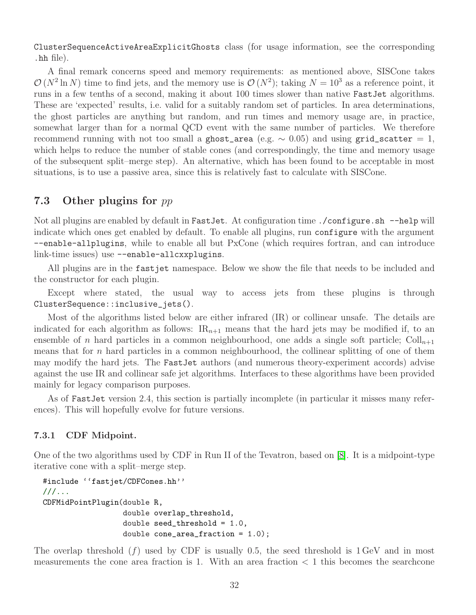ClusterSequenceActiveAreaExplicitGhosts class (for usage information, see the corresponding .hh file).

A final remark concerns speed and memory requirements: as mentioned above, SISCone takes  $\mathcal{O}(N^2 \ln N)$  time to find jets, and the memory use is  $\mathcal{O}(N^2)$ ; taking  $N = 10^3$  as a reference point, it runs in a few tenths of a second, making it about 100 times slower than native FastJet algorithms. These are 'expected' results, i.e. valid for a suitably random set of particles. In area determinations, the ghost particles are anything but random, and run times and memory usage are, in practice, somewhat larger than for a normal QCD event with the same number of particles. We therefore recommend running with not too small a ghost\_area (e.g.  $\sim$  0.05) and using grid\_scatter = 1, which helps to reduce the number of stable cones (and correspondingly, the time and memory usage of the subsequent split–merge step). An alternative, which has been found to be acceptable in most situations, is to use a passive area, since this is relatively fast to calculate with SISCone.

# <span id="page-31-0"></span>7.3 Other plugins for pp

Not all plugins are enabled by default in FastJet. At configuration time ./configure.sh --help will indicate which ones get enabled by default. To enable all plugins, run configure with the argument --enable-allplugins, while to enable all but PxCone (which requires fortran, and can introduce link-time issues) use --enable-allcxxplugins.

All plugins are in the fastjet namespace. Below we show the file that needs to be included and the constructor for each plugin.

Except where stated, the usual way to access jets from these plugins is through ClusterSequence::inclusive\_jets().

Most of the algorithms listed below are either infrared (IR) or collinear unsafe. The details are indicated for each algorithm as follows:  $IR_{n+1}$  means that the hard jets may be modified if, to an ensemble of n hard particles in a common neighbourhood, one adds a single soft particle;  $Coll_{n+1}$ means that for  $n$  hard particles in a common neighbourhood, the collinear splitting of one of them may modify the hard jets. The FastJet authors (and numerous theory-experiment accords) advise against the use IR and collinear safe jet algorithms. Interfaces to these algorithms have been provided mainly for legacy comparison purposes.

As of FastJet version 2.4, this section is partially incomplete (in particular it misses many references). This will hopefully evolve for future versions.

#### <span id="page-31-1"></span>7.3.1 CDF Midpoint.

One of the two algorithms used by CDF in Run II of the Tevatron, based on [\[8\]](#page-37-7). It is a midpoint-type iterative cone with a split–merge step.

```
#include ''fastjet/CDFCones.hh''
///...
CDFMidPointPlugin(double R,
                  double overlap_threshold,
                  double seed_threshold = 1.0,
                  double cone_area_fraction = 1.0);
```
The overlap threshold  $(f)$  used by CDF is usually 0.5, the seed threshold is 1 GeV and in most measurements the cone area fraction is 1. With an area fraction  $\lt 1$  this becomes the searchcone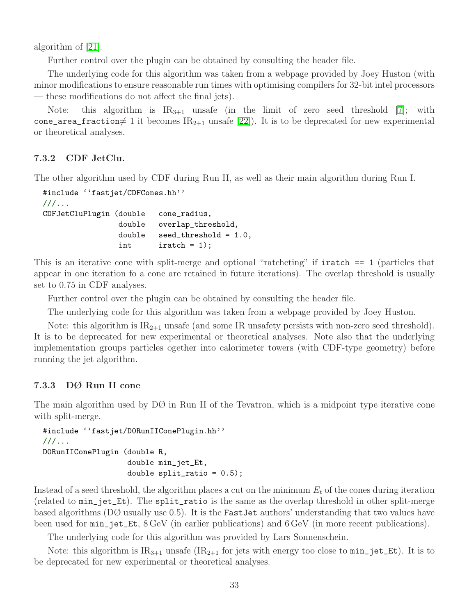algorithm of [\[21\]](#page-38-6).

Further control over the plugin can be obtained by consulting the header file.

The underlying code for this algorithm was taken from a webpage provided by Joey Huston (with minor modifications to ensure reasonable run times with optimising compilers for 32-bit intel processors — these modifications do not affect the final jets).

Note: this algorithm is  $IR_{3+1}$  unsafe (in the limit of zero seed threshold [\[7\]](#page-37-6); with cone\_area\_fraction  $\neq 1$  it becomes IR<sub>2+1</sub> unsafe [\[22\]](#page-38-7)). It is to be deprecated for new experimental or theoretical analyses.

## <span id="page-32-0"></span>7.3.2 CDF JetClu.

The other algorithm used by CDF during Run II, as well as their main algorithm during Run I.

```
#include ''fastjet/CDFCones.hh''
///...
CDFJetCluPlugin (double cone_radius,
                double overlap_threshold,
                double seed_threshold = 1.0,
                int iratch = 1);
```
This is an iterative cone with split-merge and optional "ratcheting" if iratch == 1 (particles that appear in one iteration fo a cone are retained in future iterations). The overlap threshold is usually set to 0.75 in CDF analyses.

Further control over the plugin can be obtained by consulting the header file.

The underlying code for this algorithm was taken from a webpage provided by Joey Huston.

Note: this algorithm is  $IR_{2+1}$  unsafe (and some IR unsafety persists with non-zero seed threshold). It is to be deprecated for new experimental or theoretical analyses. Note also that the underlying implementation groups particles ogether into calorimeter towers (with CDF-type geometry) before running the jet algorithm.

### <span id="page-32-1"></span>7.3.3 DØ Run II cone

The main algorithm used by  $D\emptyset$  in Run II of the Tevatron, which is a midpoint type iterative cone with split-merge.

```
#include ''fastjet/D0RunIIConePlugin.hh''
///...
D0RunIIConePlugin (double R,
                   double min_jet_Et,
                   double split\_ratio = 0.5;
```
Instead of a seed threshold, the algorithm places a cut on the minimum  $E_t$  of the cones during iteration (related to min\_jet\_Et). The split\_ratio is the same as the overlap threshold in other split-merge based algorithms (DØ usually use 0.5). It is the FastJet authors' understanding that two values have been used for min\_jet\_Et, 8 GeV (in earlier publications) and 6 GeV (in more recent publications).

The underlying code for this algorithm was provided by Lars Sonnenschein.

Note: this algorithm is  $IR_{3+1}$  unsafe  $IR_{2+1}$  for jets with energy too close to  $min\_jet\_Et$ ). It is to be deprecated for new experimental or theoretical analyses.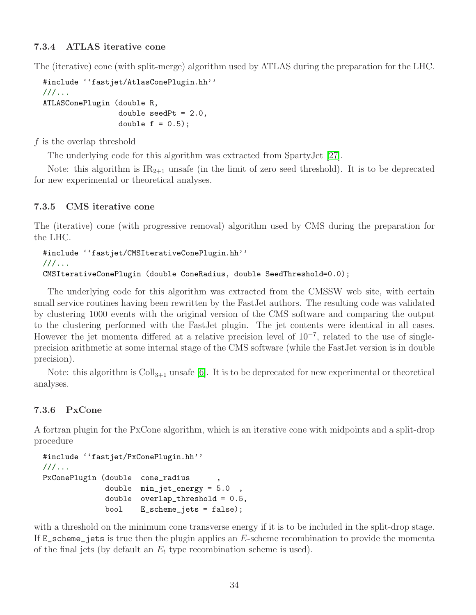## <span id="page-33-0"></span>7.3.4 ATLAS iterative cone

The (iterative) cone (with split-merge) algorithm used by ATLAS during the preparation for the LHC.

```
#include ''fastjet/AtlasConePlugin.hh''
///...
ATLASConePlugin (double R,
                 double seedPt = 2.0,
                 double f = 0.5;
```
f is the overlap threshold

The underlying code for this algorithm was extracted from SpartyJet [\[27\]](#page-38-8).

Note: this algorithm is  $IR_{2+1}$  unsafe (in the limit of zero seed threshold). It is to be deprecated for new experimental or theoretical analyses.

### <span id="page-33-1"></span>7.3.5 CMS iterative cone

The (iterative) cone (with progressive removal) algorithm used by CMS during the preparation for the LHC.

```
#include ''fastjet/CMSIterativeConePlugin.hh''
///...
CMSIterativeConePlugin (double ConeRadius, double SeedThreshold=0.0);
```
The underlying code for this algorithm was extracted from the CMSSW web site, with certain small service routines having been rewritten by the FastJet authors. The resulting code was validated by clustering 1000 events with the original version of the CMS software and comparing the output to the clustering performed with the FastJet plugin. The jet contents were identical in all cases. However the jet momenta differed at a relative precision level of 10<sup>−</sup><sup>7</sup> , related to the use of singleprecision arithmetic at some internal stage of the CMS software (while the FastJet version is in double precision).

Note: this algorithm is  $Coll_{3+1}$  unsafe [\[6\]](#page-37-5). It is to be deprecated for new experimental or theoretical analyses.

### <span id="page-33-2"></span>7.3.6 PxCone

A fortran plugin for the PxCone algorithm, which is an iterative cone with midpoints and a split-drop procedure

```
#include ''fastjet/PxConePlugin.hh''
///...
PxConePlugin (double cone_radius ,
             double min_jet_energy = 5.0 ,
             double overlap_threshold = 0.5,
             bool E_scheme_jets = false);
```
with a threshold on the minimum cone transverse energy if it is to be included in the split-drop stage. If  $E$ <sub>scheme</sub> jets is true then the plugin applies an E-scheme recombination to provide the momenta of the final jets (by default an  $E_t$  type recombination scheme is used).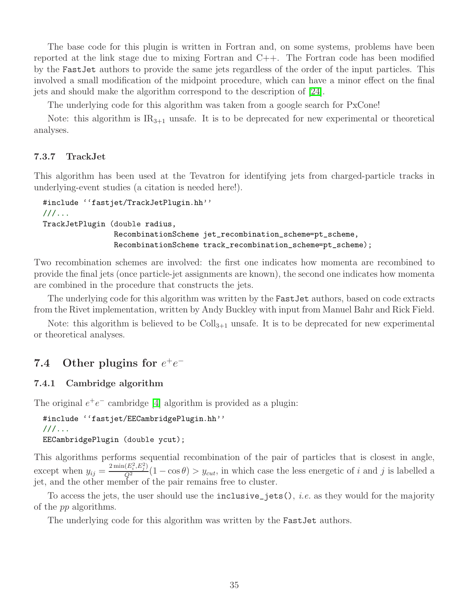The base code for this plugin is written in Fortran and, on some systems, problems have been reported at the link stage due to mixing Fortran and C++. The Fortran code has been modified by the FastJet authors to provide the same jets regardless of the order of the input particles. This involved a small modification of the midpoint procedure, which can have a minor effect on the final jets and should make the algorithm correspond to the description of [\[24\]](#page-38-9).

The underlying code for this algorithm was taken from a google search for PxCone!

Note: this algorithm is  $IR_{3+1}$  unsafe. It is to be deprecated for new experimental or theoretical analyses.

### <span id="page-34-0"></span>7.3.7 TrackJet

This algorithm has been used at the Tevatron for identifying jets from charged-particle tracks in underlying-event studies (a citation is needed here!).

```
#include ''fastjet/TrackJetPlugin.hh''
///...
TrackJetPlugin (double radius,
                RecombinationScheme jet_recombination_scheme=pt_scheme,
                RecombinationScheme track_recombination_scheme=pt_scheme);
```
Two recombination schemes are involved: the first one indicates how momenta are recombined to provide the final jets (once particle-jet assignments are known), the second one indicates how momenta are combined in the procedure that constructs the jets.

The underlying code for this algorithm was written by the FastJet authors, based on code extracts from the Rivet implementation, written by Andy Buckley with input from Manuel Bahr and Rick Field.

Note: this algorithm is believed to be  $Coll_{3+1}$  unsafe. It is to be deprecated for new experimental or theoretical analyses.

# <span id="page-34-2"></span><span id="page-34-1"></span>7.4 Other plugins for  $e^+e^-$

#### 7.4.1 Cambridge algorithm

The original  $e^+e^-$  cambridge [\[4\]](#page-37-3) algorithm is provided as a plugin:

#include ''fastjet/EECambridgePlugin.hh'' ///... EECambridgePlugin (double ycut);

This algorithms performs sequential recombination of the pair of particles that is closest in angle, except when  $y_{ij} = \frac{2 \min(E_i^2, E_j^2)}{Q^2} (1 - \cos \theta) > y_{cut}$ , in which case the less energetic of i and j is labelled a jet, and the other member of the pair remains free to cluster.

To access the jets, the user should use the inclusive jets(), *i.e.* as they would for the majority of the pp algorithms.

The underlying code for this algorithm was written by the FastJet authors.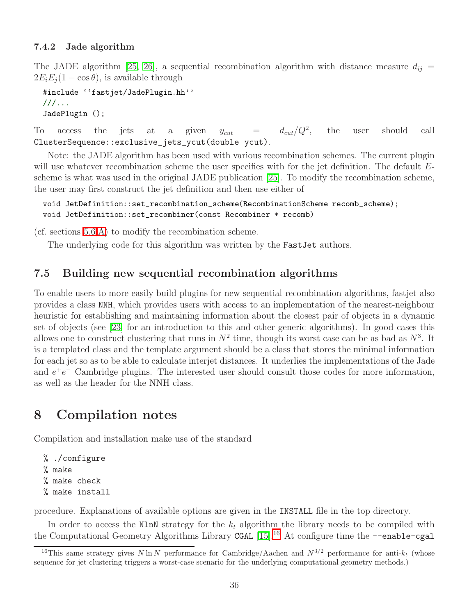#### <span id="page-35-0"></span>7.4.2 Jade algorithm

The JADE algorithm [\[25,](#page-38-10) [26\]](#page-38-11), a sequential recombination algorithm with distance measure  $d_{ij}$  =  $2E_iE_j(1-\cos\theta)$ , is available through

```
#include ''fastjet/JadePlugin.hh''
///...
JadePlugin ();
```
To access the jets at a given  $y_{cut} = d_{cut}/Q^2$ , , the user should call ClusterSequence::exclusive\_jets\_ycut(double ycut).

Note: the JADE algorithm has been used with various recombination schemes. The current plugin will use whatever recombination scheme the user specifies with for the jet definition. The default Escheme is what was used in the original JADE publication [\[25\]](#page-38-10). To modify the recombination scheme, the user may first construct the jet definition and then use either of

void JetDefinition::set\_recombination\_scheme(RecombinationScheme recomb\_scheme); void JetDefinition::set\_recombiner(const Recombiner \* recomb)

(cf. sections [5.6](#page-14-2)[,A\)](#page-36-0) to modify the recombination scheme.

The underlying code for this algorithm was written by the FastJet authors.

# <span id="page-35-1"></span>7.5 Building new sequential recombination algorithms

To enable users to more easily build plugins for new sequential recombination algorithms, fastjet also provides a class NNH, which provides users with access to an implementation of the nearest-neighbour heuristic for establishing and maintaining information about the closest pair of objects in a dynamic set of objects (see [\[23\]](#page-38-12) for an introduction to this and other generic algorithms). In good cases this allows one to construct clustering that runs in  $N^2$  time, though its worst case can be as bad as  $N^3$ . It is a templated class and the template argument should be a class that stores the minimal information for each jet so as to be able to calculate interjet distances. It underlies the implementations of the Jade and  $e^+e^-$  Cambridge plugins. The interested user should consult those codes for more information, as well as the header for the NNH class.

# <span id="page-35-2"></span>8 Compilation notes

Compilation and installation make use of the standard

```
% ./configure
```

```
% make
```

```
% make check
```

```
% make install
```
procedure. Explanations of available options are given in the INSTALL file in the top directory.

In order to access the N1nN strategy for the  $k_t$  algorithm the library needs to be compiled with the Computational Geometry Algorithms Library CGAL [\[15\]](#page-38-0).<sup>[16](#page-35-3)</sup> At configure time the --enable-cgal

<span id="page-35-3"></span><sup>&</sup>lt;sup>16</sup>This same strategy gives N ln N performance for Cambridge/Aachen and  $N^{3/2}$  performance for anti- $k_t$  (whose sequence for jet clustering triggers a worst-case scenario for the underlying computational geometry methods.)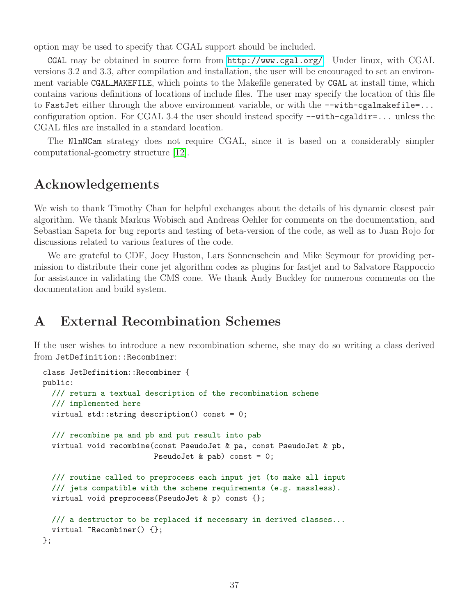option may be used to specify that CGAL support should be included.

CGAL may be obtained in source form from <http://www.cgal.org/>. Under linux, with CGAL versions 3.2 and 3.3, after compilation and installation, the user will be encouraged to set an environment variable CGAL MAKEFILE, which points to the Makefile generated by CGAL at install time, which contains various definitions of locations of include files. The user may specify the location of this file to FastJet either through the above environment variable, or with the  $-\text{with-cgalmakefile} = \dots$ configuration option. For CGAL 3.4 the user should instead specify  $-\text{with-cgaldir} = ...$  unless the CGAL files are installed in a standard location.

The NlnNCam strategy does not require CGAL, since it is based on a considerably simpler computational-geometry structure [\[12\]](#page-37-10).

# Acknowledgements

We wish to thank Timothy Chan for helpful exchanges about the details of his dynamic closest pair algorithm. We thank Markus Wobisch and Andreas Oehler for comments on the documentation, and Sebastian Sapeta for bug reports and testing of beta-version of the code, as well as to Juan Rojo for discussions related to various features of the code.

We are grateful to CDF, Joey Huston, Lars Sonnenschein and Mike Seymour for providing permission to distribute their cone jet algorithm codes as plugins for fastjet and to Salvatore Rappoccio for assistance in validating the CMS cone. We thank Andy Buckley for numerous comments on the documentation and build system.

# <span id="page-36-0"></span>A External Recombination Schemes

If the user wishes to introduce a new recombination scheme, she may do so writing a class derived from JetDefinition::Recombiner:

```
class JetDefinition::Recombiner {
public:
  /// return a textual description of the recombination scheme
  /// implemented here
  virtual std::string description() const = 0;
  /// recombine pa and pb and put result into pab
  virtual void recombine(const PseudoJet & pa, const PseudoJet & pb,
                         PseudoJet & pab) const = 0;
  /// routine called to preprocess each input jet (to make all input
  \frac{1}{1} jets compatible with the scheme requirements (e.g. massless).
  virtual void preprocess(PseudoJet & p) const {};
 /// a destructor to be replaced if necessary in derived classes...
  virtual "Recombiner() {};
};
```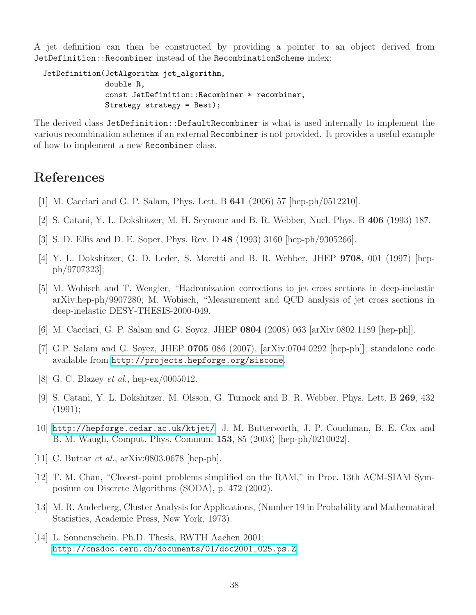A jet definition can then be constructed by providing a pointer to an object derived from JetDefinition::Recombiner instead of the RecombinationScheme index:

```
JetDefinition(JetAlgorithm jet_algorithm,
              double R,
              const JetDefinition::Recombiner * recombiner,
              Strategy strategy = Best);
```
The derived class JetDefinition::DefaultRecombiner is what is used internally to implement the various recombination schemes if an external Recombiner is not provided. It provides a useful example of how to implement a new Recombiner class.

# <span id="page-37-0"></span>References

- <span id="page-37-1"></span>[1] M. Cacciari and G. P. Salam, Phys. Lett. B 641 (2006) 57 [hep-ph/0512210].
- <span id="page-37-2"></span>[2] S. Catani, Y. L. Dokshitzer, M. H. Seymour and B. R. Webber, Nucl. Phys. B 406 (1993) 187.
- <span id="page-37-3"></span>[3] S. D. Ellis and D. E. Soper, Phys. Rev. D 48 (1993) 3160 [hep-ph/9305266].
- <span id="page-37-4"></span>[4] Y. L. Dokshitzer, G. D. Leder, S. Moretti and B. R. Webber, JHEP 9708, 001 (1997) [hepph/9707323];
- [5] M. Wobisch and T. Wengler, "Hadronization corrections to jet cross sections in deep-inelastic arXiv:hep-ph/9907280; M. Wobisch, "Measurement and QCD analysis of jet cross sections in deep-inelastic DESY-THESIS-2000-049.
- <span id="page-37-6"></span><span id="page-37-5"></span>[6] M. Cacciari, G. P. Salam and G. Soyez, JHEP 0804 (2008) 063 [arXiv:0802.1189 [hep-ph]].
- <span id="page-37-7"></span>[7] G.P. Salam and G. Soyez, JHEP 0705 086 (2007), [arXiv:0704.0292 [hep-ph]]; standalone code available from <http://projects.hepforge.org/siscone>.
- <span id="page-37-13"></span>[8] G. C. Blazey et al., hep-ex/0005012.
- [9] S. Catani, Y. L. Dokshitzer, M. Olsson, G. Turnock and B. R. Webber, Phys. Lett. B 269, 432 (1991);
- <span id="page-37-8"></span>[10] <http://hepforge.cedar.ac.uk/ktjet/>; J. M. Butterworth, J. P. Couchman, B. E. Cox and B. M. Waugh, Comput. Phys. Commun. 153, 85 (2003) [hep-ph/0210022].
- <span id="page-37-10"></span><span id="page-37-9"></span>[11] C. Buttar et al., arXiv:0803.0678 [hep-ph].
- [12] T. M. Chan, "Closest-point problems simplified on the RAM," in Proc. 13th ACM-SIAM Symposium on Discrete Algorithms (SODA), p. 472 (2002).
- <span id="page-37-11"></span>[13] M. R. Anderberg, Cluster Analysis for Applications, (Number 19 in Probability and Mathematical Statistics, Academic Press, New York, 1973).
- <span id="page-37-12"></span>[14] L. Sonnenschein, Ph.D. Thesis, RWTH Aachen 2001; [http://cmsdoc.cern.ch/documents/01/doc2001\\_025.ps.Z](http://cmsdoc.cern.ch/documents/01/doc2001_025.ps.Z)